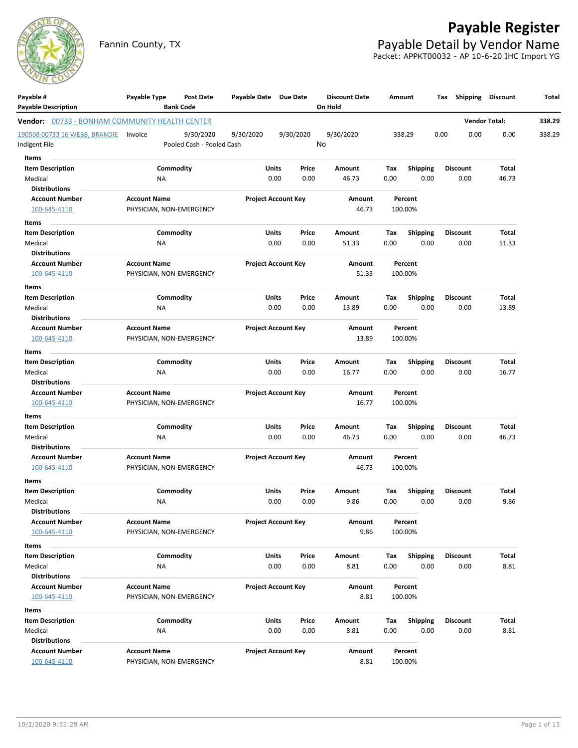

# **Payable Register**

 $\overline{\phantom{0}}$ 

Fannin County, TX **Payable Detail by Vendor Name** Packet: APPKT00032 - AP 10-6-20 IHC Import YG

| Payable #                                             | Payable Type             | Post Date                 | Payable Date Due Date |                            | <b>Discount Date</b> |             | Amount                  | Tax  |                         | Shipping Discount    | Total  |
|-------------------------------------------------------|--------------------------|---------------------------|-----------------------|----------------------------|----------------------|-------------|-------------------------|------|-------------------------|----------------------|--------|
| <b>Payable Description</b>                            |                          | <b>Bank Code</b>          |                       |                            | On Hold              |             |                         |      |                         |                      |        |
| <b>Vendor:</b> 00733 - BONHAM COMMUNITY HEALTH CENTER |                          |                           |                       |                            |                      |             |                         |      |                         | <b>Vendor Total:</b> | 338.29 |
| 190508 00733 16 WEBB, BRANDIE                         | Invoice                  | 9/30/2020                 | 9/30/2020             | 9/30/2020                  | 9/30/2020<br>No      |             | 338.29                  | 0.00 | 0.00                    | 0.00                 | 338.29 |
| ndigent File                                          |                          | Pooled Cash - Pooled Cash |                       |                            |                      |             |                         |      |                         |                      |        |
| Items                                                 |                          |                           |                       |                            |                      |             |                         |      |                         |                      |        |
| <b>Item Description</b>                               |                          | Commodity                 | Units                 | Price                      | Amount               | Tax         | <b>Shipping</b>         |      | <b>Discount</b>         | Total                |        |
| Medical                                               | NA                       |                           |                       | 0.00<br>0.00               | 46.73                | 0.00        | 0.00                    |      | 0.00                    | 46.73                |        |
| <b>Distributions</b>                                  |                          |                           |                       |                            |                      |             |                         |      |                         |                      |        |
| <b>Account Number</b>                                 | <b>Account Name</b>      |                           |                       | <b>Project Account Key</b> | Amount<br>46.73      |             | Percent<br>100.00%      |      |                         |                      |        |
| 100-645-4110                                          | PHYSICIAN, NON-EMERGENCY |                           |                       |                            |                      |             |                         |      |                         |                      |        |
| Items                                                 |                          |                           |                       |                            |                      |             |                         |      |                         |                      |        |
| <b>Item Description</b>                               |                          | Commodity                 | Units                 | Price                      | Amount               | Tax         | <b>Shipping</b>         |      | <b>Discount</b>         | Total                |        |
| Medical                                               | <b>NA</b>                |                           |                       | 0.00<br>0.00               | 51.33                | 0.00        | 0.00                    |      | 0.00                    | 51.33                |        |
| <b>Distributions</b>                                  |                          |                           |                       |                            |                      |             |                         |      |                         |                      |        |
| <b>Account Number</b><br>100-645-4110                 | <b>Account Name</b>      |                           |                       | <b>Project Account Key</b> | Amount<br>51.33      |             | Percent<br>100.00%      |      |                         |                      |        |
|                                                       | PHYSICIAN, NON-EMERGENCY |                           |                       |                            |                      |             |                         |      |                         |                      |        |
| Items                                                 |                          |                           |                       |                            |                      |             |                         |      |                         |                      |        |
| <b>Item Description</b>                               |                          | Commodity                 | Units                 | Price                      | Amount               | Tax         | Shipping                |      | <b>Discount</b>         | Total                |        |
| Medical<br><b>Distributions</b>                       | ΝA                       |                           |                       | 0.00<br>0.00               | 13.89                | 0.00        | 0.00                    |      | 0.00                    | 13.89                |        |
| <b>Account Number</b>                                 | <b>Account Name</b>      |                           |                       | <b>Project Account Key</b> | Amount               |             | Percent                 |      |                         |                      |        |
| 100-645-4110                                          | PHYSICIAN, NON-EMERGENCY |                           |                       |                            | 13.89                |             | 100.00%                 |      |                         |                      |        |
|                                                       |                          |                           |                       |                            |                      |             |                         |      |                         |                      |        |
| Items                                                 |                          |                           |                       |                            |                      |             |                         |      |                         |                      |        |
| <b>Item Description</b><br>Medical                    | NA                       | Commodity                 | Units                 | Price<br>0.00<br>0.00      | Amount<br>16.77      | Tax<br>0.00 | <b>Shipping</b><br>0.00 |      | <b>Discount</b><br>0.00 | Total<br>16.77       |        |
| <b>Distributions</b>                                  |                          |                           |                       |                            |                      |             |                         |      |                         |                      |        |
| <b>Account Number</b>                                 | <b>Account Name</b>      |                           |                       | <b>Project Account Key</b> | Amount               |             | Percent                 |      |                         |                      |        |
| 100-645-4110                                          | PHYSICIAN, NON-EMERGENCY |                           |                       |                            | 16.77                |             | 100.00%                 |      |                         |                      |        |
|                                                       |                          |                           |                       |                            |                      |             |                         |      |                         |                      |        |
| Items<br><b>Item Description</b>                      |                          | Commodity                 | Units                 | Price                      | Amount               | Tax         | <b>Shipping</b>         |      | <b>Discount</b>         | Total                |        |
| Medical                                               | <b>NA</b>                |                           |                       | 0.00<br>0.00               | 46.73                | 0.00        | 0.00                    |      | 0.00                    | 46.73                |        |
| <b>Distributions</b>                                  |                          |                           |                       |                            |                      |             |                         |      |                         |                      |        |
| <b>Account Number</b>                                 | <b>Account Name</b>      |                           |                       | <b>Project Account Key</b> | Amount               |             | Percent                 |      |                         |                      |        |
| 100-645-4110                                          | PHYSICIAN, NON-EMERGENCY |                           |                       |                            | 46.73                |             | 100.00%                 |      |                         |                      |        |
| Items                                                 |                          |                           |                       |                            |                      |             |                         |      |                         |                      |        |
| <b>Item Description</b>                               |                          | Commodity                 | Units                 | Price                      | Amount               | Tax         | <b>Shipping</b>         |      | <b>Discount</b>         | Total                |        |
| Medical                                               | NA                       |                           |                       | 0.00<br>0.00               | 9.86                 | 0.00        | 0.00                    |      | 0.00                    | 9.86                 |        |
| <b>Distributions</b>                                  |                          |                           |                       |                            |                      |             |                         |      |                         |                      |        |
| <b>Account Number</b>                                 | <b>Account Name</b>      |                           |                       | <b>Project Account Key</b> | Amount               |             | Percent                 |      |                         |                      |        |
| 100-645-4110                                          | PHYSICIAN, NON-EMERGENCY |                           |                       |                            | 9.86                 |             | 100.00%                 |      |                         |                      |        |
| Items                                                 |                          |                           |                       |                            |                      |             |                         |      |                         |                      |        |
| <b>Item Description</b>                               |                          | Commodity                 | Units                 | Price                      | Amount               | Tax         | <b>Shipping</b>         |      | <b>Discount</b>         | Total                |        |
| Medical                                               | <b>NA</b>                |                           |                       | 0.00<br>0.00               | 8.81                 | 0.00        | 0.00                    |      | 0.00                    | 8.81                 |        |
| <b>Distributions</b>                                  |                          |                           |                       |                            |                      |             |                         |      |                         |                      |        |
| <b>Account Number</b>                                 | <b>Account Name</b>      |                           |                       | <b>Project Account Key</b> | Amount               |             | Percent                 |      |                         |                      |        |
| 100-645-4110                                          | PHYSICIAN, NON-EMERGENCY |                           |                       |                            | 8.81                 |             | 100.00%                 |      |                         |                      |        |
| Items                                                 |                          |                           |                       |                            |                      |             |                         |      |                         |                      |        |
| <b>Item Description</b>                               |                          | Commodity                 | Units                 | Price                      | Amount               | Тах         | <b>Shipping</b>         |      | Discount                | Total                |        |
| Medical                                               | ΝA                       |                           |                       | 0.00<br>0.00               | 8.81                 | 0.00        | 0.00                    |      | 0.00                    | 8.81                 |        |
| <b>Distributions</b>                                  |                          |                           |                       |                            |                      |             |                         |      |                         |                      |        |
| <b>Account Number</b>                                 | <b>Account Name</b>      |                           |                       | <b>Project Account Key</b> | Amount               |             | Percent                 |      |                         |                      |        |
| 100-645-4110                                          | PHYSICIAN, NON-EMERGENCY |                           |                       |                            | 8.81                 |             | 100.00%                 |      |                         |                      |        |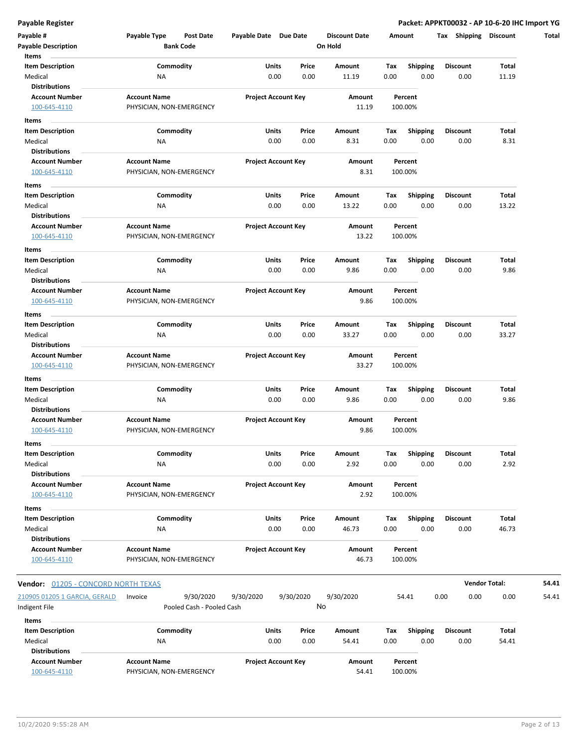| Items<br><b>Item Description</b><br>Commodity<br>Total<br>Units<br>Price<br>Amount<br>Tax<br><b>Shipping</b><br><b>Discount</b><br>Medical<br>0.00<br>0.00<br>0.00<br>11.19<br>0.00<br>0.00<br>11.19<br>ΝA<br><b>Distributions</b><br><b>Account Number</b><br><b>Account Name</b><br><b>Project Account Key</b><br>Amount<br>Percent<br>11.19<br>100.00%<br>100-645-4110<br>PHYSICIAN, NON-EMERGENCY<br>Items<br>Commodity<br><b>Item Description</b><br>Units<br>Price<br>Amount<br>Tax<br><b>Shipping</b><br><b>Discount</b><br>Total<br>0.00<br>0.00<br>8.31<br>0.00<br>0.00<br>0.00<br>8.31<br>Medical<br>ΝA<br><b>Distributions</b><br><b>Account Name</b><br><b>Project Account Key</b><br><b>Account Number</b><br>Amount<br>Percent<br>PHYSICIAN, NON-EMERGENCY<br>8.31<br>100.00%<br>100-645-4110<br>Items<br>Commodity<br>Units<br><b>Shipping</b><br><b>Item Description</b><br>Price<br>Amount<br>Tax<br><b>Discount</b><br>Total<br>13.22<br>13.22<br>Medical<br>0.00<br>0.00<br>0.00<br>0.00<br>0.00<br>ΝA<br><b>Distributions</b><br><b>Account Name</b><br><b>Project Account Key</b><br><b>Account Number</b><br>Amount<br>Percent<br>100-645-4110<br>PHYSICIAN, NON-EMERGENCY<br>13.22<br>100.00%<br>Items<br>Commodity<br>Units<br>Price<br>Total<br><b>Item Description</b><br>Amount<br>Tax<br><b>Shipping</b><br><b>Discount</b><br>0.00<br>0.00<br>9.86<br>Medical<br>NA<br>0.00<br>9.86<br>0.00<br>0.00<br><b>Distributions</b><br><b>Account Name</b><br><b>Project Account Key</b><br><b>Account Number</b><br>Amount<br>Percent<br>100-645-4110<br>PHYSICIAN, NON-EMERGENCY<br>9.86<br>100.00%<br>Items<br>Commodity<br><b>Item Description</b><br>Units<br>Price<br>Amount<br>Tax<br><b>Shipping</b><br><b>Discount</b><br>Total<br>0.00<br>33.27<br>Medical<br>NA<br>0.00<br>0.00<br>33.27<br>0.00<br>0.00<br><b>Distributions</b><br><b>Project Account Key</b><br><b>Account Number</b><br><b>Account Name</b><br>Amount<br>Percent<br>100-645-4110<br>PHYSICIAN, NON-EMERGENCY<br>33.27<br>100.00%<br>Items<br>Commodity<br><b>Item Description</b><br>Units<br>Total<br>Price<br>Amount<br>Tax<br><b>Shipping</b><br><b>Discount</b><br>0.00<br>9.86<br>9.86<br>Medical<br>0.00<br>0.00<br>0.00<br>0.00<br>ΝA<br><b>Distributions</b><br><b>Account Name</b><br><b>Project Account Key</b><br><b>Account Number</b><br>Amount<br>Percent<br>100-645-4110<br>PHYSICIAN, NON-EMERGENCY<br>9.86<br>100.00%<br>Items<br>Commodity<br>Units<br><b>Item Description</b><br>Price<br>Shipping<br><b>Discount</b><br>Total<br>Amount<br>Tax<br>0.00<br>0.00<br>2.92<br>0.00<br>0.00<br>0.00<br>2.92<br>Medical<br>ΝA<br><b>Distributions</b><br><b>Account Number</b><br><b>Account Name</b><br><b>Project Account Key</b><br>Amount<br>Percent<br>2.92<br>100-645-4110<br>PHYSICIAN, NON-EMERGENCY<br>100.00%<br>Items<br>Commodity<br><b>Item Description</b><br>Units<br>Price<br>Amount<br><b>Shipping</b><br><b>Discount</b><br>Total<br>Tax<br>0.00<br>0.00<br>0.00<br>0.00<br>46.73<br>Medical<br>NA<br>46.73<br>0.00<br><b>Distributions</b><br><b>Account Number</b><br><b>Account Name</b><br><b>Project Account Key</b><br>Percent<br>Amount<br>100-645-4110<br>PHYSICIAN, NON-EMERGENCY<br>46.73<br>100.00%<br><b>Vendor Total:</b><br>Vendor: 01205 - CONCORD NORTH TEXAS<br>9/30/2020<br>210905 01205 1 GARCIA, GERALD<br>9/30/2020<br>9/30/2020<br>9/30/2020<br>0.00<br>0.00<br>0.00<br>Invoice<br>54.41<br>No<br>Indigent File<br>Pooled Cash - Pooled Cash<br>Items | Payable #                  | Payable Type<br>Post Date | Payable Date Due Date | <b>Discount Date</b> | Amount | Tax Shipping | <b>Discount</b> | Total |
|----------------------------------------------------------------------------------------------------------------------------------------------------------------------------------------------------------------------------------------------------------------------------------------------------------------------------------------------------------------------------------------------------------------------------------------------------------------------------------------------------------------------------------------------------------------------------------------------------------------------------------------------------------------------------------------------------------------------------------------------------------------------------------------------------------------------------------------------------------------------------------------------------------------------------------------------------------------------------------------------------------------------------------------------------------------------------------------------------------------------------------------------------------------------------------------------------------------------------------------------------------------------------------------------------------------------------------------------------------------------------------------------------------------------------------------------------------------------------------------------------------------------------------------------------------------------------------------------------------------------------------------------------------------------------------------------------------------------------------------------------------------------------------------------------------------------------------------------------------------------------------------------------------------------------------------------------------------------------------------------------------------------------------------------------------------------------------------------------------------------------------------------------------------------------------------------------------------------------------------------------------------------------------------------------------------------------------------------------------------------------------------------------------------------------------------------------------------------------------------------------------------------------------------------------------------------------------------------------------------------------------------------------------------------------------------------------------------------------------------------------------------------------------------------------------------------------------------------------------------------------------------------------------------------------------------------------------------------------------------------------------------------------------------------------------------------------------------------------------------------------------------------------------------------------------------------------------------------------------------------------------------------------------------------------------------------------------------------------------------------------------------------------------------------------------------------------------------------------------------------------------------|----------------------------|---------------------------|-----------------------|----------------------|--------|--------------|-----------------|-------|
|                                                                                                                                                                                                                                                                                                                                                                                                                                                                                                                                                                                                                                                                                                                                                                                                                                                                                                                                                                                                                                                                                                                                                                                                                                                                                                                                                                                                                                                                                                                                                                                                                                                                                                                                                                                                                                                                                                                                                                                                                                                                                                                                                                                                                                                                                                                                                                                                                                                                                                                                                                                                                                                                                                                                                                                                                                                                                                                                                                                                                                                                                                                                                                                                                                                                                                                                                                                                                                                                                                                | <b>Payable Description</b> | <b>Bank Code</b>          |                       | On Hold              |        |              |                 |       |
|                                                                                                                                                                                                                                                                                                                                                                                                                                                                                                                                                                                                                                                                                                                                                                                                                                                                                                                                                                                                                                                                                                                                                                                                                                                                                                                                                                                                                                                                                                                                                                                                                                                                                                                                                                                                                                                                                                                                                                                                                                                                                                                                                                                                                                                                                                                                                                                                                                                                                                                                                                                                                                                                                                                                                                                                                                                                                                                                                                                                                                                                                                                                                                                                                                                                                                                                                                                                                                                                                                                |                            |                           |                       |                      |        |              |                 |       |
|                                                                                                                                                                                                                                                                                                                                                                                                                                                                                                                                                                                                                                                                                                                                                                                                                                                                                                                                                                                                                                                                                                                                                                                                                                                                                                                                                                                                                                                                                                                                                                                                                                                                                                                                                                                                                                                                                                                                                                                                                                                                                                                                                                                                                                                                                                                                                                                                                                                                                                                                                                                                                                                                                                                                                                                                                                                                                                                                                                                                                                                                                                                                                                                                                                                                                                                                                                                                                                                                                                                |                            |                           |                       |                      |        |              |                 |       |
|                                                                                                                                                                                                                                                                                                                                                                                                                                                                                                                                                                                                                                                                                                                                                                                                                                                                                                                                                                                                                                                                                                                                                                                                                                                                                                                                                                                                                                                                                                                                                                                                                                                                                                                                                                                                                                                                                                                                                                                                                                                                                                                                                                                                                                                                                                                                                                                                                                                                                                                                                                                                                                                                                                                                                                                                                                                                                                                                                                                                                                                                                                                                                                                                                                                                                                                                                                                                                                                                                                                |                            |                           |                       |                      |        |              |                 |       |
|                                                                                                                                                                                                                                                                                                                                                                                                                                                                                                                                                                                                                                                                                                                                                                                                                                                                                                                                                                                                                                                                                                                                                                                                                                                                                                                                                                                                                                                                                                                                                                                                                                                                                                                                                                                                                                                                                                                                                                                                                                                                                                                                                                                                                                                                                                                                                                                                                                                                                                                                                                                                                                                                                                                                                                                                                                                                                                                                                                                                                                                                                                                                                                                                                                                                                                                                                                                                                                                                                                                |                            |                           |                       |                      |        |              |                 |       |
|                                                                                                                                                                                                                                                                                                                                                                                                                                                                                                                                                                                                                                                                                                                                                                                                                                                                                                                                                                                                                                                                                                                                                                                                                                                                                                                                                                                                                                                                                                                                                                                                                                                                                                                                                                                                                                                                                                                                                                                                                                                                                                                                                                                                                                                                                                                                                                                                                                                                                                                                                                                                                                                                                                                                                                                                                                                                                                                                                                                                                                                                                                                                                                                                                                                                                                                                                                                                                                                                                                                |                            |                           |                       |                      |        |              |                 |       |
|                                                                                                                                                                                                                                                                                                                                                                                                                                                                                                                                                                                                                                                                                                                                                                                                                                                                                                                                                                                                                                                                                                                                                                                                                                                                                                                                                                                                                                                                                                                                                                                                                                                                                                                                                                                                                                                                                                                                                                                                                                                                                                                                                                                                                                                                                                                                                                                                                                                                                                                                                                                                                                                                                                                                                                                                                                                                                                                                                                                                                                                                                                                                                                                                                                                                                                                                                                                                                                                                                                                |                            |                           |                       |                      |        |              |                 |       |
|                                                                                                                                                                                                                                                                                                                                                                                                                                                                                                                                                                                                                                                                                                                                                                                                                                                                                                                                                                                                                                                                                                                                                                                                                                                                                                                                                                                                                                                                                                                                                                                                                                                                                                                                                                                                                                                                                                                                                                                                                                                                                                                                                                                                                                                                                                                                                                                                                                                                                                                                                                                                                                                                                                                                                                                                                                                                                                                                                                                                                                                                                                                                                                                                                                                                                                                                                                                                                                                                                                                |                            |                           |                       |                      |        |              |                 |       |
|                                                                                                                                                                                                                                                                                                                                                                                                                                                                                                                                                                                                                                                                                                                                                                                                                                                                                                                                                                                                                                                                                                                                                                                                                                                                                                                                                                                                                                                                                                                                                                                                                                                                                                                                                                                                                                                                                                                                                                                                                                                                                                                                                                                                                                                                                                                                                                                                                                                                                                                                                                                                                                                                                                                                                                                                                                                                                                                                                                                                                                                                                                                                                                                                                                                                                                                                                                                                                                                                                                                |                            |                           |                       |                      |        |              |                 |       |
|                                                                                                                                                                                                                                                                                                                                                                                                                                                                                                                                                                                                                                                                                                                                                                                                                                                                                                                                                                                                                                                                                                                                                                                                                                                                                                                                                                                                                                                                                                                                                                                                                                                                                                                                                                                                                                                                                                                                                                                                                                                                                                                                                                                                                                                                                                                                                                                                                                                                                                                                                                                                                                                                                                                                                                                                                                                                                                                                                                                                                                                                                                                                                                                                                                                                                                                                                                                                                                                                                                                |                            |                           |                       |                      |        |              |                 |       |
|                                                                                                                                                                                                                                                                                                                                                                                                                                                                                                                                                                                                                                                                                                                                                                                                                                                                                                                                                                                                                                                                                                                                                                                                                                                                                                                                                                                                                                                                                                                                                                                                                                                                                                                                                                                                                                                                                                                                                                                                                                                                                                                                                                                                                                                                                                                                                                                                                                                                                                                                                                                                                                                                                                                                                                                                                                                                                                                                                                                                                                                                                                                                                                                                                                                                                                                                                                                                                                                                                                                |                            |                           |                       |                      |        |              |                 |       |
|                                                                                                                                                                                                                                                                                                                                                                                                                                                                                                                                                                                                                                                                                                                                                                                                                                                                                                                                                                                                                                                                                                                                                                                                                                                                                                                                                                                                                                                                                                                                                                                                                                                                                                                                                                                                                                                                                                                                                                                                                                                                                                                                                                                                                                                                                                                                                                                                                                                                                                                                                                                                                                                                                                                                                                                                                                                                                                                                                                                                                                                                                                                                                                                                                                                                                                                                                                                                                                                                                                                |                            |                           |                       |                      |        |              |                 |       |
|                                                                                                                                                                                                                                                                                                                                                                                                                                                                                                                                                                                                                                                                                                                                                                                                                                                                                                                                                                                                                                                                                                                                                                                                                                                                                                                                                                                                                                                                                                                                                                                                                                                                                                                                                                                                                                                                                                                                                                                                                                                                                                                                                                                                                                                                                                                                                                                                                                                                                                                                                                                                                                                                                                                                                                                                                                                                                                                                                                                                                                                                                                                                                                                                                                                                                                                                                                                                                                                                                                                |                            |                           |                       |                      |        |              |                 |       |
|                                                                                                                                                                                                                                                                                                                                                                                                                                                                                                                                                                                                                                                                                                                                                                                                                                                                                                                                                                                                                                                                                                                                                                                                                                                                                                                                                                                                                                                                                                                                                                                                                                                                                                                                                                                                                                                                                                                                                                                                                                                                                                                                                                                                                                                                                                                                                                                                                                                                                                                                                                                                                                                                                                                                                                                                                                                                                                                                                                                                                                                                                                                                                                                                                                                                                                                                                                                                                                                                                                                |                            |                           |                       |                      |        |              |                 |       |
|                                                                                                                                                                                                                                                                                                                                                                                                                                                                                                                                                                                                                                                                                                                                                                                                                                                                                                                                                                                                                                                                                                                                                                                                                                                                                                                                                                                                                                                                                                                                                                                                                                                                                                                                                                                                                                                                                                                                                                                                                                                                                                                                                                                                                                                                                                                                                                                                                                                                                                                                                                                                                                                                                                                                                                                                                                                                                                                                                                                                                                                                                                                                                                                                                                                                                                                                                                                                                                                                                                                |                            |                           |                       |                      |        |              |                 |       |
|                                                                                                                                                                                                                                                                                                                                                                                                                                                                                                                                                                                                                                                                                                                                                                                                                                                                                                                                                                                                                                                                                                                                                                                                                                                                                                                                                                                                                                                                                                                                                                                                                                                                                                                                                                                                                                                                                                                                                                                                                                                                                                                                                                                                                                                                                                                                                                                                                                                                                                                                                                                                                                                                                                                                                                                                                                                                                                                                                                                                                                                                                                                                                                                                                                                                                                                                                                                                                                                                                                                |                            |                           |                       |                      |        |              |                 |       |
|                                                                                                                                                                                                                                                                                                                                                                                                                                                                                                                                                                                                                                                                                                                                                                                                                                                                                                                                                                                                                                                                                                                                                                                                                                                                                                                                                                                                                                                                                                                                                                                                                                                                                                                                                                                                                                                                                                                                                                                                                                                                                                                                                                                                                                                                                                                                                                                                                                                                                                                                                                                                                                                                                                                                                                                                                                                                                                                                                                                                                                                                                                                                                                                                                                                                                                                                                                                                                                                                                                                |                            |                           |                       |                      |        |              |                 |       |
|                                                                                                                                                                                                                                                                                                                                                                                                                                                                                                                                                                                                                                                                                                                                                                                                                                                                                                                                                                                                                                                                                                                                                                                                                                                                                                                                                                                                                                                                                                                                                                                                                                                                                                                                                                                                                                                                                                                                                                                                                                                                                                                                                                                                                                                                                                                                                                                                                                                                                                                                                                                                                                                                                                                                                                                                                                                                                                                                                                                                                                                                                                                                                                                                                                                                                                                                                                                                                                                                                                                |                            |                           |                       |                      |        |              |                 |       |
|                                                                                                                                                                                                                                                                                                                                                                                                                                                                                                                                                                                                                                                                                                                                                                                                                                                                                                                                                                                                                                                                                                                                                                                                                                                                                                                                                                                                                                                                                                                                                                                                                                                                                                                                                                                                                                                                                                                                                                                                                                                                                                                                                                                                                                                                                                                                                                                                                                                                                                                                                                                                                                                                                                                                                                                                                                                                                                                                                                                                                                                                                                                                                                                                                                                                                                                                                                                                                                                                                                                |                            |                           |                       |                      |        |              |                 |       |
|                                                                                                                                                                                                                                                                                                                                                                                                                                                                                                                                                                                                                                                                                                                                                                                                                                                                                                                                                                                                                                                                                                                                                                                                                                                                                                                                                                                                                                                                                                                                                                                                                                                                                                                                                                                                                                                                                                                                                                                                                                                                                                                                                                                                                                                                                                                                                                                                                                                                                                                                                                                                                                                                                                                                                                                                                                                                                                                                                                                                                                                                                                                                                                                                                                                                                                                                                                                                                                                                                                                |                            |                           |                       |                      |        |              |                 |       |
|                                                                                                                                                                                                                                                                                                                                                                                                                                                                                                                                                                                                                                                                                                                                                                                                                                                                                                                                                                                                                                                                                                                                                                                                                                                                                                                                                                                                                                                                                                                                                                                                                                                                                                                                                                                                                                                                                                                                                                                                                                                                                                                                                                                                                                                                                                                                                                                                                                                                                                                                                                                                                                                                                                                                                                                                                                                                                                                                                                                                                                                                                                                                                                                                                                                                                                                                                                                                                                                                                                                |                            |                           |                       |                      |        |              |                 |       |
|                                                                                                                                                                                                                                                                                                                                                                                                                                                                                                                                                                                                                                                                                                                                                                                                                                                                                                                                                                                                                                                                                                                                                                                                                                                                                                                                                                                                                                                                                                                                                                                                                                                                                                                                                                                                                                                                                                                                                                                                                                                                                                                                                                                                                                                                                                                                                                                                                                                                                                                                                                                                                                                                                                                                                                                                                                                                                                                                                                                                                                                                                                                                                                                                                                                                                                                                                                                                                                                                                                                |                            |                           |                       |                      |        |              |                 |       |
|                                                                                                                                                                                                                                                                                                                                                                                                                                                                                                                                                                                                                                                                                                                                                                                                                                                                                                                                                                                                                                                                                                                                                                                                                                                                                                                                                                                                                                                                                                                                                                                                                                                                                                                                                                                                                                                                                                                                                                                                                                                                                                                                                                                                                                                                                                                                                                                                                                                                                                                                                                                                                                                                                                                                                                                                                                                                                                                                                                                                                                                                                                                                                                                                                                                                                                                                                                                                                                                                                                                |                            |                           |                       |                      |        |              |                 |       |
|                                                                                                                                                                                                                                                                                                                                                                                                                                                                                                                                                                                                                                                                                                                                                                                                                                                                                                                                                                                                                                                                                                                                                                                                                                                                                                                                                                                                                                                                                                                                                                                                                                                                                                                                                                                                                                                                                                                                                                                                                                                                                                                                                                                                                                                                                                                                                                                                                                                                                                                                                                                                                                                                                                                                                                                                                                                                                                                                                                                                                                                                                                                                                                                                                                                                                                                                                                                                                                                                                                                |                            |                           |                       |                      |        |              |                 |       |
|                                                                                                                                                                                                                                                                                                                                                                                                                                                                                                                                                                                                                                                                                                                                                                                                                                                                                                                                                                                                                                                                                                                                                                                                                                                                                                                                                                                                                                                                                                                                                                                                                                                                                                                                                                                                                                                                                                                                                                                                                                                                                                                                                                                                                                                                                                                                                                                                                                                                                                                                                                                                                                                                                                                                                                                                                                                                                                                                                                                                                                                                                                                                                                                                                                                                                                                                                                                                                                                                                                                |                            |                           |                       |                      |        |              |                 |       |
|                                                                                                                                                                                                                                                                                                                                                                                                                                                                                                                                                                                                                                                                                                                                                                                                                                                                                                                                                                                                                                                                                                                                                                                                                                                                                                                                                                                                                                                                                                                                                                                                                                                                                                                                                                                                                                                                                                                                                                                                                                                                                                                                                                                                                                                                                                                                                                                                                                                                                                                                                                                                                                                                                                                                                                                                                                                                                                                                                                                                                                                                                                                                                                                                                                                                                                                                                                                                                                                                                                                |                            |                           |                       |                      |        |              |                 |       |
|                                                                                                                                                                                                                                                                                                                                                                                                                                                                                                                                                                                                                                                                                                                                                                                                                                                                                                                                                                                                                                                                                                                                                                                                                                                                                                                                                                                                                                                                                                                                                                                                                                                                                                                                                                                                                                                                                                                                                                                                                                                                                                                                                                                                                                                                                                                                                                                                                                                                                                                                                                                                                                                                                                                                                                                                                                                                                                                                                                                                                                                                                                                                                                                                                                                                                                                                                                                                                                                                                                                |                            |                           |                       |                      |        |              |                 |       |
|                                                                                                                                                                                                                                                                                                                                                                                                                                                                                                                                                                                                                                                                                                                                                                                                                                                                                                                                                                                                                                                                                                                                                                                                                                                                                                                                                                                                                                                                                                                                                                                                                                                                                                                                                                                                                                                                                                                                                                                                                                                                                                                                                                                                                                                                                                                                                                                                                                                                                                                                                                                                                                                                                                                                                                                                                                                                                                                                                                                                                                                                                                                                                                                                                                                                                                                                                                                                                                                                                                                |                            |                           |                       |                      |        |              |                 |       |
|                                                                                                                                                                                                                                                                                                                                                                                                                                                                                                                                                                                                                                                                                                                                                                                                                                                                                                                                                                                                                                                                                                                                                                                                                                                                                                                                                                                                                                                                                                                                                                                                                                                                                                                                                                                                                                                                                                                                                                                                                                                                                                                                                                                                                                                                                                                                                                                                                                                                                                                                                                                                                                                                                                                                                                                                                                                                                                                                                                                                                                                                                                                                                                                                                                                                                                                                                                                                                                                                                                                |                            |                           |                       |                      |        |              |                 |       |
|                                                                                                                                                                                                                                                                                                                                                                                                                                                                                                                                                                                                                                                                                                                                                                                                                                                                                                                                                                                                                                                                                                                                                                                                                                                                                                                                                                                                                                                                                                                                                                                                                                                                                                                                                                                                                                                                                                                                                                                                                                                                                                                                                                                                                                                                                                                                                                                                                                                                                                                                                                                                                                                                                                                                                                                                                                                                                                                                                                                                                                                                                                                                                                                                                                                                                                                                                                                                                                                                                                                |                            |                           |                       |                      |        |              |                 |       |
|                                                                                                                                                                                                                                                                                                                                                                                                                                                                                                                                                                                                                                                                                                                                                                                                                                                                                                                                                                                                                                                                                                                                                                                                                                                                                                                                                                                                                                                                                                                                                                                                                                                                                                                                                                                                                                                                                                                                                                                                                                                                                                                                                                                                                                                                                                                                                                                                                                                                                                                                                                                                                                                                                                                                                                                                                                                                                                                                                                                                                                                                                                                                                                                                                                                                                                                                                                                                                                                                                                                |                            |                           |                       |                      |        |              |                 |       |
|                                                                                                                                                                                                                                                                                                                                                                                                                                                                                                                                                                                                                                                                                                                                                                                                                                                                                                                                                                                                                                                                                                                                                                                                                                                                                                                                                                                                                                                                                                                                                                                                                                                                                                                                                                                                                                                                                                                                                                                                                                                                                                                                                                                                                                                                                                                                                                                                                                                                                                                                                                                                                                                                                                                                                                                                                                                                                                                                                                                                                                                                                                                                                                                                                                                                                                                                                                                                                                                                                                                |                            |                           |                       |                      |        |              |                 |       |
|                                                                                                                                                                                                                                                                                                                                                                                                                                                                                                                                                                                                                                                                                                                                                                                                                                                                                                                                                                                                                                                                                                                                                                                                                                                                                                                                                                                                                                                                                                                                                                                                                                                                                                                                                                                                                                                                                                                                                                                                                                                                                                                                                                                                                                                                                                                                                                                                                                                                                                                                                                                                                                                                                                                                                                                                                                                                                                                                                                                                                                                                                                                                                                                                                                                                                                                                                                                                                                                                                                                |                            |                           |                       |                      |        |              |                 |       |
|                                                                                                                                                                                                                                                                                                                                                                                                                                                                                                                                                                                                                                                                                                                                                                                                                                                                                                                                                                                                                                                                                                                                                                                                                                                                                                                                                                                                                                                                                                                                                                                                                                                                                                                                                                                                                                                                                                                                                                                                                                                                                                                                                                                                                                                                                                                                                                                                                                                                                                                                                                                                                                                                                                                                                                                                                                                                                                                                                                                                                                                                                                                                                                                                                                                                                                                                                                                                                                                                                                                |                            |                           |                       |                      |        |              |                 |       |
|                                                                                                                                                                                                                                                                                                                                                                                                                                                                                                                                                                                                                                                                                                                                                                                                                                                                                                                                                                                                                                                                                                                                                                                                                                                                                                                                                                                                                                                                                                                                                                                                                                                                                                                                                                                                                                                                                                                                                                                                                                                                                                                                                                                                                                                                                                                                                                                                                                                                                                                                                                                                                                                                                                                                                                                                                                                                                                                                                                                                                                                                                                                                                                                                                                                                                                                                                                                                                                                                                                                |                            |                           |                       |                      |        |              |                 |       |
|                                                                                                                                                                                                                                                                                                                                                                                                                                                                                                                                                                                                                                                                                                                                                                                                                                                                                                                                                                                                                                                                                                                                                                                                                                                                                                                                                                                                                                                                                                                                                                                                                                                                                                                                                                                                                                                                                                                                                                                                                                                                                                                                                                                                                                                                                                                                                                                                                                                                                                                                                                                                                                                                                                                                                                                                                                                                                                                                                                                                                                                                                                                                                                                                                                                                                                                                                                                                                                                                                                                |                            |                           |                       |                      |        |              |                 |       |
|                                                                                                                                                                                                                                                                                                                                                                                                                                                                                                                                                                                                                                                                                                                                                                                                                                                                                                                                                                                                                                                                                                                                                                                                                                                                                                                                                                                                                                                                                                                                                                                                                                                                                                                                                                                                                                                                                                                                                                                                                                                                                                                                                                                                                                                                                                                                                                                                                                                                                                                                                                                                                                                                                                                                                                                                                                                                                                                                                                                                                                                                                                                                                                                                                                                                                                                                                                                                                                                                                                                |                            |                           |                       |                      |        |              |                 |       |
|                                                                                                                                                                                                                                                                                                                                                                                                                                                                                                                                                                                                                                                                                                                                                                                                                                                                                                                                                                                                                                                                                                                                                                                                                                                                                                                                                                                                                                                                                                                                                                                                                                                                                                                                                                                                                                                                                                                                                                                                                                                                                                                                                                                                                                                                                                                                                                                                                                                                                                                                                                                                                                                                                                                                                                                                                                                                                                                                                                                                                                                                                                                                                                                                                                                                                                                                                                                                                                                                                                                |                            |                           |                       |                      |        |              |                 |       |
|                                                                                                                                                                                                                                                                                                                                                                                                                                                                                                                                                                                                                                                                                                                                                                                                                                                                                                                                                                                                                                                                                                                                                                                                                                                                                                                                                                                                                                                                                                                                                                                                                                                                                                                                                                                                                                                                                                                                                                                                                                                                                                                                                                                                                                                                                                                                                                                                                                                                                                                                                                                                                                                                                                                                                                                                                                                                                                                                                                                                                                                                                                                                                                                                                                                                                                                                                                                                                                                                                                                |                            |                           |                       |                      |        |              |                 |       |
|                                                                                                                                                                                                                                                                                                                                                                                                                                                                                                                                                                                                                                                                                                                                                                                                                                                                                                                                                                                                                                                                                                                                                                                                                                                                                                                                                                                                                                                                                                                                                                                                                                                                                                                                                                                                                                                                                                                                                                                                                                                                                                                                                                                                                                                                                                                                                                                                                                                                                                                                                                                                                                                                                                                                                                                                                                                                                                                                                                                                                                                                                                                                                                                                                                                                                                                                                                                                                                                                                                                |                            |                           |                       |                      |        |              |                 |       |
|                                                                                                                                                                                                                                                                                                                                                                                                                                                                                                                                                                                                                                                                                                                                                                                                                                                                                                                                                                                                                                                                                                                                                                                                                                                                                                                                                                                                                                                                                                                                                                                                                                                                                                                                                                                                                                                                                                                                                                                                                                                                                                                                                                                                                                                                                                                                                                                                                                                                                                                                                                                                                                                                                                                                                                                                                                                                                                                                                                                                                                                                                                                                                                                                                                                                                                                                                                                                                                                                                                                |                            |                           |                       |                      |        |              |                 |       |
|                                                                                                                                                                                                                                                                                                                                                                                                                                                                                                                                                                                                                                                                                                                                                                                                                                                                                                                                                                                                                                                                                                                                                                                                                                                                                                                                                                                                                                                                                                                                                                                                                                                                                                                                                                                                                                                                                                                                                                                                                                                                                                                                                                                                                                                                                                                                                                                                                                                                                                                                                                                                                                                                                                                                                                                                                                                                                                                                                                                                                                                                                                                                                                                                                                                                                                                                                                                                                                                                                                                |                            |                           |                       |                      |        |              |                 |       |
|                                                                                                                                                                                                                                                                                                                                                                                                                                                                                                                                                                                                                                                                                                                                                                                                                                                                                                                                                                                                                                                                                                                                                                                                                                                                                                                                                                                                                                                                                                                                                                                                                                                                                                                                                                                                                                                                                                                                                                                                                                                                                                                                                                                                                                                                                                                                                                                                                                                                                                                                                                                                                                                                                                                                                                                                                                                                                                                                                                                                                                                                                                                                                                                                                                                                                                                                                                                                                                                                                                                |                            |                           |                       |                      |        |              |                 |       |
|                                                                                                                                                                                                                                                                                                                                                                                                                                                                                                                                                                                                                                                                                                                                                                                                                                                                                                                                                                                                                                                                                                                                                                                                                                                                                                                                                                                                                                                                                                                                                                                                                                                                                                                                                                                                                                                                                                                                                                                                                                                                                                                                                                                                                                                                                                                                                                                                                                                                                                                                                                                                                                                                                                                                                                                                                                                                                                                                                                                                                                                                                                                                                                                                                                                                                                                                                                                                                                                                                                                |                            |                           |                       |                      |        |              |                 |       |
|                                                                                                                                                                                                                                                                                                                                                                                                                                                                                                                                                                                                                                                                                                                                                                                                                                                                                                                                                                                                                                                                                                                                                                                                                                                                                                                                                                                                                                                                                                                                                                                                                                                                                                                                                                                                                                                                                                                                                                                                                                                                                                                                                                                                                                                                                                                                                                                                                                                                                                                                                                                                                                                                                                                                                                                                                                                                                                                                                                                                                                                                                                                                                                                                                                                                                                                                                                                                                                                                                                                |                            |                           |                       |                      |        |              |                 |       |
|                                                                                                                                                                                                                                                                                                                                                                                                                                                                                                                                                                                                                                                                                                                                                                                                                                                                                                                                                                                                                                                                                                                                                                                                                                                                                                                                                                                                                                                                                                                                                                                                                                                                                                                                                                                                                                                                                                                                                                                                                                                                                                                                                                                                                                                                                                                                                                                                                                                                                                                                                                                                                                                                                                                                                                                                                                                                                                                                                                                                                                                                                                                                                                                                                                                                                                                                                                                                                                                                                                                |                            |                           |                       |                      |        |              |                 |       |
|                                                                                                                                                                                                                                                                                                                                                                                                                                                                                                                                                                                                                                                                                                                                                                                                                                                                                                                                                                                                                                                                                                                                                                                                                                                                                                                                                                                                                                                                                                                                                                                                                                                                                                                                                                                                                                                                                                                                                                                                                                                                                                                                                                                                                                                                                                                                                                                                                                                                                                                                                                                                                                                                                                                                                                                                                                                                                                                                                                                                                                                                                                                                                                                                                                                                                                                                                                                                                                                                                                                |                            |                           |                       |                      |        |              |                 |       |
|                                                                                                                                                                                                                                                                                                                                                                                                                                                                                                                                                                                                                                                                                                                                                                                                                                                                                                                                                                                                                                                                                                                                                                                                                                                                                                                                                                                                                                                                                                                                                                                                                                                                                                                                                                                                                                                                                                                                                                                                                                                                                                                                                                                                                                                                                                                                                                                                                                                                                                                                                                                                                                                                                                                                                                                                                                                                                                                                                                                                                                                                                                                                                                                                                                                                                                                                                                                                                                                                                                                |                            |                           |                       |                      |        |              |                 |       |
|                                                                                                                                                                                                                                                                                                                                                                                                                                                                                                                                                                                                                                                                                                                                                                                                                                                                                                                                                                                                                                                                                                                                                                                                                                                                                                                                                                                                                                                                                                                                                                                                                                                                                                                                                                                                                                                                                                                                                                                                                                                                                                                                                                                                                                                                                                                                                                                                                                                                                                                                                                                                                                                                                                                                                                                                                                                                                                                                                                                                                                                                                                                                                                                                                                                                                                                                                                                                                                                                                                                |                            |                           |                       |                      |        |              |                 | 54.41 |
|                                                                                                                                                                                                                                                                                                                                                                                                                                                                                                                                                                                                                                                                                                                                                                                                                                                                                                                                                                                                                                                                                                                                                                                                                                                                                                                                                                                                                                                                                                                                                                                                                                                                                                                                                                                                                                                                                                                                                                                                                                                                                                                                                                                                                                                                                                                                                                                                                                                                                                                                                                                                                                                                                                                                                                                                                                                                                                                                                                                                                                                                                                                                                                                                                                                                                                                                                                                                                                                                                                                |                            |                           |                       |                      |        |              |                 |       |
|                                                                                                                                                                                                                                                                                                                                                                                                                                                                                                                                                                                                                                                                                                                                                                                                                                                                                                                                                                                                                                                                                                                                                                                                                                                                                                                                                                                                                                                                                                                                                                                                                                                                                                                                                                                                                                                                                                                                                                                                                                                                                                                                                                                                                                                                                                                                                                                                                                                                                                                                                                                                                                                                                                                                                                                                                                                                                                                                                                                                                                                                                                                                                                                                                                                                                                                                                                                                                                                                                                                |                            |                           |                       |                      |        |              |                 | 54.41 |
|                                                                                                                                                                                                                                                                                                                                                                                                                                                                                                                                                                                                                                                                                                                                                                                                                                                                                                                                                                                                                                                                                                                                                                                                                                                                                                                                                                                                                                                                                                                                                                                                                                                                                                                                                                                                                                                                                                                                                                                                                                                                                                                                                                                                                                                                                                                                                                                                                                                                                                                                                                                                                                                                                                                                                                                                                                                                                                                                                                                                                                                                                                                                                                                                                                                                                                                                                                                                                                                                                                                |                            |                           |                       |                      |        |              |                 |       |
| <b>Item Description</b><br>Units<br>Amount<br><b>Shipping</b><br><b>Discount</b><br>Total<br>Price<br>Tax                                                                                                                                                                                                                                                                                                                                                                                                                                                                                                                                                                                                                                                                                                                                                                                                                                                                                                                                                                                                                                                                                                                                                                                                                                                                                                                                                                                                                                                                                                                                                                                                                                                                                                                                                                                                                                                                                                                                                                                                                                                                                                                                                                                                                                                                                                                                                                                                                                                                                                                                                                                                                                                                                                                                                                                                                                                                                                                                                                                                                                                                                                                                                                                                                                                                                                                                                                                                      |                            | Commodity                 |                       |                      |        |              |                 |       |
| Medical<br>0.00<br>0.00<br>0.00<br>NA<br>0.00<br>54.41<br>0.00<br>54.41                                                                                                                                                                                                                                                                                                                                                                                                                                                                                                                                                                                                                                                                                                                                                                                                                                                                                                                                                                                                                                                                                                                                                                                                                                                                                                                                                                                                                                                                                                                                                                                                                                                                                                                                                                                                                                                                                                                                                                                                                                                                                                                                                                                                                                                                                                                                                                                                                                                                                                                                                                                                                                                                                                                                                                                                                                                                                                                                                                                                                                                                                                                                                                                                                                                                                                                                                                                                                                        |                            |                           |                       |                      |        |              |                 |       |
| <b>Distributions</b><br>Account Number<br>Account Name<br><b>Droject Account Key</b><br>$A$ mount<br><b>Dorcont</b>                                                                                                                                                                                                                                                                                                                                                                                                                                                                                                                                                                                                                                                                                                                                                                                                                                                                                                                                                                                                                                                                                                                                                                                                                                                                                                                                                                                                                                                                                                                                                                                                                                                                                                                                                                                                                                                                                                                                                                                                                                                                                                                                                                                                                                                                                                                                                                                                                                                                                                                                                                                                                                                                                                                                                                                                                                                                                                                                                                                                                                                                                                                                                                                                                                                                                                                                                                                            |                            |                           |                       |                      |        |              |                 |       |

**Account Number Account Name Project Account Key Amount Percent** 100-645-4110 PHYSICIAN, NON-EMERGENCY 54.41 100.00%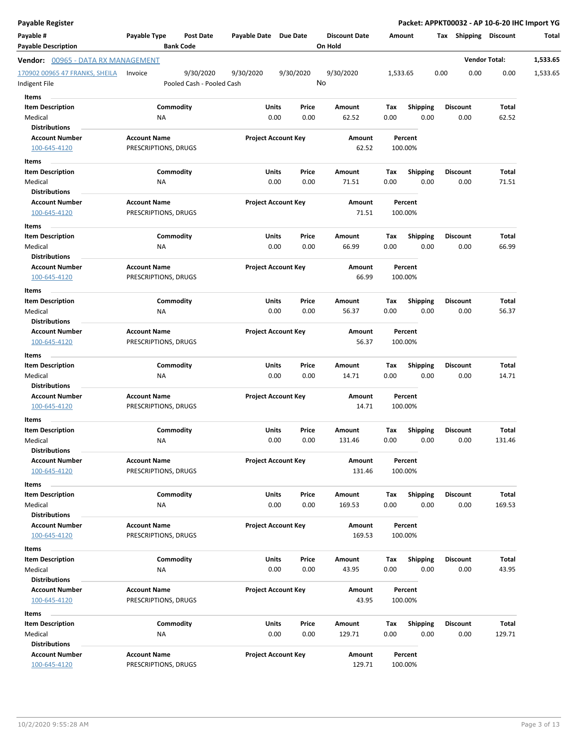| Payable Register                                |                                             |                                        |                       |                            |                                 |          |                    |      |                 |                       | Packet: APPKT00032 - AP 10-6-20 IHC Import YG |
|-------------------------------------------------|---------------------------------------------|----------------------------------------|-----------------------|----------------------------|---------------------------------|----------|--------------------|------|-----------------|-----------------------|-----------------------------------------------|
| Payable #<br><b>Payable Description</b>         | Payable Type                                | <b>Post Date</b><br><b>Bank Code</b>   | Payable Date Due Date |                            | <b>Discount Date</b><br>On Hold |          | Amount             |      |                 | Tax Shipping Discount | Total                                         |
| <b>Vendor:</b> 00965 - DATA RX MANAGEMENT       |                                             |                                        |                       |                            |                                 |          |                    |      |                 | <b>Vendor Total:</b>  | 1,533.65                                      |
| 170902 00965 47 FRANKS, SHEILA<br>Indigent File | Invoice                                     | 9/30/2020<br>Pooled Cash - Pooled Cash | 9/30/2020             | 9/30/2020                  | 9/30/2020<br>No                 | 1,533.65 |                    | 0.00 | 0.00            | 0.00                  | 1,533.65                                      |
| Items                                           |                                             |                                        |                       |                            |                                 |          |                    |      |                 |                       |                                               |
| <b>Item Description</b>                         |                                             | Commodity                              | Units                 | Price                      | Amount                          | Tax      | <b>Shipping</b>    |      | Discount        | Total                 |                                               |
| Medical                                         | ΝA                                          |                                        | 0.00                  | 0.00                       | 62.52                           | 0.00     | 0.00               |      | 0.00            | 62.52                 |                                               |
| <b>Distributions</b>                            |                                             |                                        |                       |                            |                                 |          |                    |      |                 |                       |                                               |
| <b>Account Number</b>                           | <b>Account Name</b>                         |                                        |                       | <b>Project Account Key</b> | Amount                          |          | Percent            |      |                 |                       |                                               |
| 100-645-4120                                    | PRESCRIPTIONS, DRUGS                        |                                        |                       |                            | 62.52                           |          | 100.00%            |      |                 |                       |                                               |
| Items                                           |                                             |                                        |                       |                            |                                 |          |                    |      |                 |                       |                                               |
| <b>Item Description</b>                         |                                             | Commodity                              | Units                 | Price                      | Amount                          | Tax      | <b>Shipping</b>    |      | <b>Discount</b> | Total                 |                                               |
| Medical                                         | NA                                          |                                        | 0.00                  | 0.00                       | 71.51                           | 0.00     | 0.00               |      | 0.00            | 71.51                 |                                               |
| <b>Distributions</b>                            |                                             |                                        |                       |                            |                                 |          |                    |      |                 |                       |                                               |
| <b>Account Number</b><br>100-645-4120           | <b>Account Name</b><br>PRESCRIPTIONS, DRUGS |                                        |                       | <b>Project Account Key</b> | Amount<br>71.51                 |          | Percent<br>100.00% |      |                 |                       |                                               |
| Items                                           |                                             |                                        |                       |                            |                                 |          |                    |      |                 |                       |                                               |
| <b>Item Description</b>                         |                                             | Commodity                              | Units                 | Price                      | Amount                          | Tax      | <b>Shipping</b>    |      | <b>Discount</b> | Total                 |                                               |
| Medical                                         | ΝA                                          |                                        | 0.00                  | 0.00                       | 66.99                           | 0.00     | 0.00               |      | 0.00            | 66.99                 |                                               |
| <b>Distributions</b>                            |                                             |                                        |                       |                            |                                 |          |                    |      |                 |                       |                                               |
| <b>Account Number</b><br>100-645-4120           | <b>Account Name</b><br>PRESCRIPTIONS, DRUGS |                                        |                       | <b>Project Account Key</b> | Amount<br>66.99                 |          | Percent<br>100.00% |      |                 |                       |                                               |
| Items                                           |                                             |                                        |                       |                            |                                 |          |                    |      |                 |                       |                                               |
| <b>Item Description</b>                         |                                             | Commodity                              | Units                 | Price                      | Amount                          | Тах      | Shipping           |      | Discount        | Total                 |                                               |
| Medical                                         | ΝA                                          |                                        | 0.00                  | 0.00                       | 56.37                           | 0.00     | 0.00               |      | 0.00            | 56.37                 |                                               |
| <b>Distributions</b>                            |                                             |                                        |                       |                            |                                 |          |                    |      |                 |                       |                                               |
| <b>Account Number</b>                           | <b>Account Name</b>                         |                                        |                       | <b>Project Account Key</b> | Amount                          |          | Percent            |      |                 |                       |                                               |
| 100-645-4120                                    | PRESCRIPTIONS, DRUGS                        |                                        |                       |                            | 56.37                           |          | 100.00%            |      |                 |                       |                                               |
| Items                                           |                                             |                                        |                       |                            |                                 |          |                    |      |                 |                       |                                               |
| <b>Item Description</b>                         |                                             | Commodity                              | Units                 | Price                      | Amount                          | Tax      | <b>Shipping</b>    |      | Discount        | Total                 |                                               |
| Medical                                         | ΝA                                          |                                        | 0.00                  | 0.00                       | 14.71                           | 0.00     | 0.00               |      | 0.00            | 14.71                 |                                               |
| <b>Distributions</b>                            |                                             |                                        |                       |                            |                                 |          |                    |      |                 |                       |                                               |
| <b>Account Number</b>                           | <b>Account Name</b>                         |                                        |                       | <b>Project Account Key</b> | Amount                          |          | Percent            |      |                 |                       |                                               |
| 100-645-4120                                    | PRESCRIPTIONS, DRUGS                        |                                        |                       |                            | 14.71                           |          | 100.00%            |      |                 |                       |                                               |
| Items                                           |                                             |                                        |                       |                            |                                 |          |                    |      |                 |                       |                                               |
| <b>Item Description</b>                         |                                             | Commodity                              | Units                 | Price                      | Amount                          | Tax      | <b>Shipping</b>    |      | <b>Discount</b> | Total                 |                                               |
| Medical                                         | ΝA                                          |                                        | 0.00                  | 0.00                       | 131.46                          | 0.00     | 0.00               |      | 0.00            | 131.46                |                                               |
| <b>Distributions</b>                            |                                             |                                        |                       |                            |                                 |          |                    |      |                 |                       |                                               |
| <b>Account Number</b><br>100-645-4120           | <b>Account Name</b><br>PRESCRIPTIONS, DRUGS |                                        |                       | <b>Project Account Key</b> | Amount<br>131.46                |          | Percent<br>100.00% |      |                 |                       |                                               |
| Items                                           |                                             |                                        |                       |                            |                                 |          |                    |      |                 |                       |                                               |
| <b>Item Description</b>                         |                                             | Commodity                              | Units                 | Price                      | Amount                          | Tax      | <b>Shipping</b>    |      | <b>Discount</b> | Total                 |                                               |
| Medical                                         | ΝA                                          |                                        |                       | 0.00<br>0.00               | 169.53                          | 0.00     | 0.00               |      | 0.00            | 169.53                |                                               |
| <b>Distributions</b>                            |                                             |                                        |                       |                            |                                 |          |                    |      |                 |                       |                                               |
| <b>Account Number</b>                           | <b>Account Name</b>                         |                                        |                       | <b>Project Account Key</b> | Amount                          |          | Percent            |      |                 |                       |                                               |
| 100-645-4120                                    | PRESCRIPTIONS, DRUGS                        |                                        |                       |                            | 169.53                          |          | 100.00%            |      |                 |                       |                                               |
| Items                                           |                                             |                                        |                       |                            |                                 |          |                    |      |                 |                       |                                               |
| <b>Item Description</b>                         |                                             | Commodity                              | Units                 | Price                      | Amount                          | Tax      | <b>Shipping</b>    |      | Discount        | Total                 |                                               |
| Medical                                         | ΝA                                          |                                        |                       | 0.00<br>0.00               | 43.95                           | 0.00     | 0.00               |      | 0.00            | 43.95                 |                                               |
| <b>Distributions</b>                            |                                             |                                        |                       |                            |                                 |          |                    |      |                 |                       |                                               |
| <b>Account Number</b>                           | <b>Account Name</b>                         |                                        |                       | <b>Project Account Key</b> | Amount                          |          | Percent            |      |                 |                       |                                               |
| 100-645-4120                                    | PRESCRIPTIONS, DRUGS                        |                                        |                       |                            | 43.95                           |          | 100.00%            |      |                 |                       |                                               |
|                                                 |                                             |                                        |                       |                            |                                 |          |                    |      |                 |                       |                                               |
| Items                                           |                                             |                                        |                       |                            |                                 |          |                    |      |                 |                       |                                               |
| <b>Item Description</b>                         |                                             | Commodity                              | Units                 | Price                      | Amount                          | Тах      | <b>Shipping</b>    |      | <b>Discount</b> | Total                 |                                               |
| Medical                                         | NA                                          |                                        |                       | 0.00<br>0.00               | 129.71                          | 0.00     | 0.00               |      | 0.00            | 129.71                |                                               |
| <b>Distributions</b>                            |                                             |                                        |                       |                            |                                 |          |                    |      |                 |                       |                                               |
| <b>Account Number</b><br>100-645-4120           | <b>Account Name</b><br>PRESCRIPTIONS, DRUGS |                                        |                       | <b>Project Account Key</b> | Amount<br>129.71                |          | Percent<br>100.00% |      |                 |                       |                                               |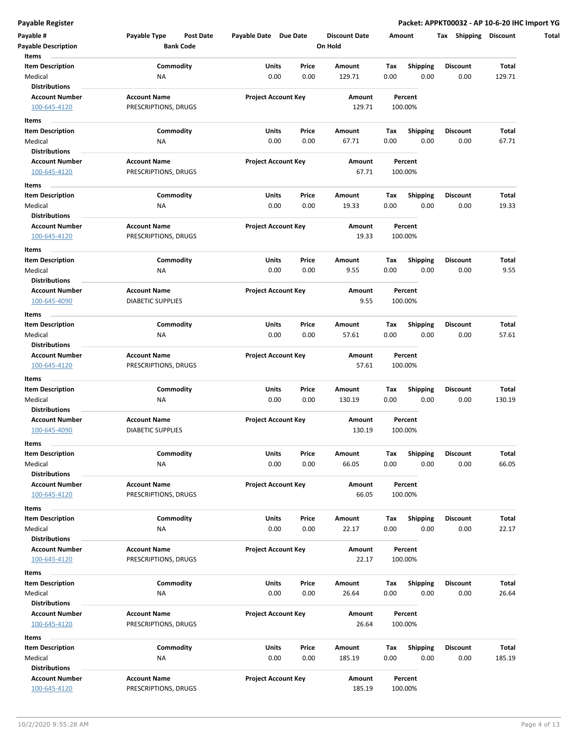| Payable #<br><b>Payable Description</b> | Payable Type<br>Post Date<br><b>Bank Code</b> | Payable Date Due Date      |       | <b>Discount Date</b><br>On Hold | Amount |                    | Tax<br><b>Shipping</b> | <b>Discount</b> |
|-----------------------------------------|-----------------------------------------------|----------------------------|-------|---------------------------------|--------|--------------------|------------------------|-----------------|
| Items                                   |                                               |                            |       |                                 |        |                    |                        |                 |
| <b>Item Description</b>                 | Commodity                                     | Units                      | Price | Amount                          | Tax    | <b>Shipping</b>    | <b>Discount</b>        | Total           |
| Medical                                 | <b>NA</b>                                     | 0.00                       | 0.00  | 129.71                          | 0.00   | 0.00               | 0.00                   | 129.71          |
| <b>Distributions</b>                    |                                               |                            |       |                                 |        |                    |                        |                 |
| <b>Account Number</b>                   | <b>Account Name</b>                           | <b>Project Account Key</b> |       | Amount                          |        | Percent            |                        |                 |
| 100-645-4120                            | PRESCRIPTIONS, DRUGS                          |                            |       | 129.71                          |        | 100.00%            |                        |                 |
| Items                                   |                                               |                            |       |                                 |        |                    |                        |                 |
| <b>Item Description</b>                 | Commodity                                     | Units                      | Price | Amount                          | Тах    | <b>Shipping</b>    | <b>Discount</b>        | Total           |
| Medical                                 | ΝA                                            | 0.00                       | 0.00  | 67.71                           | 0.00   | 0.00               | 0.00                   | 67.71           |
| <b>Distributions</b>                    |                                               |                            |       |                                 |        |                    |                        |                 |
| <b>Account Number</b>                   | <b>Account Name</b>                           | <b>Project Account Key</b> |       | Amount                          |        | Percent            |                        |                 |
| 100-645-4120                            | PRESCRIPTIONS, DRUGS                          |                            |       | 67.71                           |        | 100.00%            |                        |                 |
| Items                                   |                                               |                            |       |                                 |        |                    |                        |                 |
| Item Description                        | Commodity                                     | Units                      | Price | Amount                          | Tax    | <b>Shipping</b>    | <b>Discount</b>        | Total           |
| Medical                                 | ΝA                                            | 0.00                       | 0.00  | 19.33                           | 0.00   | 0.00               | 0.00                   | 19.33           |
| <b>Distributions</b>                    |                                               |                            |       |                                 |        |                    |                        |                 |
| <b>Account Number</b>                   |                                               |                            |       |                                 |        |                    |                        |                 |
|                                         | <b>Account Name</b>                           | <b>Project Account Key</b> |       | Amount<br>19.33                 |        | Percent<br>100.00% |                        |                 |
| 100-645-4120                            | PRESCRIPTIONS, DRUGS                          |                            |       |                                 |        |                    |                        |                 |
| Items                                   |                                               |                            |       |                                 |        |                    |                        |                 |
| <b>Item Description</b>                 | Commodity                                     | Units                      | Price | Amount                          | Tax    | <b>Shipping</b>    | <b>Discount</b>        | Total           |
| Medical                                 | <b>NA</b>                                     | 0.00                       | 0.00  | 9.55                            | 0.00   | 0.00               | 0.00                   | 9.55            |
| <b>Distributions</b>                    |                                               |                            |       |                                 |        |                    |                        |                 |
| <b>Account Number</b>                   | <b>Account Name</b>                           | <b>Project Account Key</b> |       | Amount                          |        | Percent            |                        |                 |
| 100-645-4090                            | <b>DIABETIC SUPPLIES</b>                      |                            |       | 9.55                            |        | 100.00%            |                        |                 |
| Items                                   |                                               |                            |       |                                 |        |                    |                        |                 |
| <b>Item Description</b>                 | Commodity                                     | Units                      | Price | Amount                          | Tax    | <b>Shipping</b>    | <b>Discount</b>        | Total           |
| Medical                                 | <b>NA</b>                                     | 0.00                       | 0.00  | 57.61                           | 0.00   | 0.00               | 0.00                   | 57.61           |
| <b>Distributions</b>                    |                                               |                            |       |                                 |        |                    |                        |                 |
| <b>Account Number</b>                   | <b>Account Name</b>                           | <b>Project Account Key</b> |       | Amount                          |        | Percent            |                        |                 |
| 100-645-4120                            | PRESCRIPTIONS, DRUGS                          |                            |       | 57.61                           |        | 100.00%            |                        |                 |
| Items                                   |                                               |                            |       |                                 |        |                    |                        |                 |
| <b>Item Description</b>                 | Commodity                                     | Units                      | Price | Amount                          | Тах    | <b>Shipping</b>    | <b>Discount</b>        | Total           |
| Medical                                 | <b>NA</b>                                     | 0.00                       | 0.00  | 130.19                          | 0.00   | 0.00               | 0.00                   | 130.19          |
| Distributions                           |                                               |                            |       |                                 |        |                    |                        |                 |
| <b>Account Number</b>                   | <b>Account Name</b>                           | <b>Project Account Key</b> |       | Amount                          |        | Percent            |                        |                 |
| 100-645-4090                            | <b>DIABETIC SUPPLIES</b>                      |                            |       | 130.19                          |        | 100.00%            |                        |                 |
|                                         |                                               |                            |       |                                 |        |                    |                        |                 |
| Items                                   |                                               |                            |       |                                 |        |                    |                        |                 |
| Item Description                        | Commodity                                     | Units                      | Price | Amount                          | тах    | Shipping           | Discount               | Total           |
| Medical                                 | ΝA                                            | 0.00                       | 0.00  | 66.05                           | 0.00   | 0.00               | 0.00                   | 66.05           |
| <b>Distributions</b>                    |                                               |                            |       |                                 |        |                    |                        |                 |
| <b>Account Number</b>                   | <b>Account Name</b>                           | <b>Project Account Key</b> |       | Amount                          |        | Percent            |                        |                 |
| 100-645-4120                            | PRESCRIPTIONS, DRUGS                          |                            |       | 66.05                           |        | 100.00%            |                        |                 |
| Items                                   |                                               |                            |       |                                 |        |                    |                        |                 |
| <b>Item Description</b>                 | Commodity                                     | Units                      | Price | Amount                          | Tax    | <b>Shipping</b>    | <b>Discount</b>        | Total           |
| Medical                                 | NA                                            | 0.00                       | 0.00  | 22.17                           | 0.00   | 0.00               | 0.00                   | 22.17           |
| <b>Distributions</b>                    |                                               |                            |       |                                 |        |                    |                        |                 |
| <b>Account Number</b>                   | <b>Account Name</b>                           | <b>Project Account Key</b> |       | Amount                          |        | Percent            |                        |                 |
| 100-645-4120                            | PRESCRIPTIONS, DRUGS                          |                            |       | 22.17                           |        | 100.00%            |                        |                 |
| Items                                   |                                               |                            |       |                                 |        |                    |                        |                 |
| <b>Item Description</b>                 | Commodity                                     | <b>Units</b>               | Price | Amount                          | Tax    | <b>Shipping</b>    | Discount               | Total           |
| Medical                                 | <b>NA</b>                                     | 0.00                       | 0.00  | 26.64                           | 0.00   | 0.00               | 0.00                   | 26.64           |
| <b>Distributions</b>                    |                                               |                            |       |                                 |        |                    |                        |                 |
| <b>Account Number</b>                   | <b>Account Name</b>                           | <b>Project Account Key</b> |       | Amount                          |        | Percent            |                        |                 |
| 100-645-4120                            | PRESCRIPTIONS, DRUGS                          |                            |       | 26.64                           |        | 100.00%            |                        |                 |
|                                         |                                               |                            |       |                                 |        |                    |                        |                 |
| Items                                   |                                               |                            |       |                                 |        |                    |                        |                 |
| <b>Item Description</b>                 | Commodity                                     | Units                      | Price | Amount                          | Tax    | <b>Shipping</b>    | <b>Discount</b>        | Total           |
| Medical                                 | <b>NA</b>                                     | 0.00                       | 0.00  | 185.19                          | 0.00   | 0.00               | 0.00                   | 185.19          |
| <b>Distributions</b>                    |                                               |                            |       |                                 |        |                    |                        |                 |
| <b>Account Number</b>                   | <b>Account Name</b>                           | <b>Project Account Key</b> |       | Amount                          |        | Percent            |                        |                 |
| 100-645-4120                            | PRESCRIPTIONS, DRUGS                          |                            |       | 185.19                          |        | 100.00%            |                        |                 |
|                                         |                                               |                            |       |                                 |        |                    |                        |                 |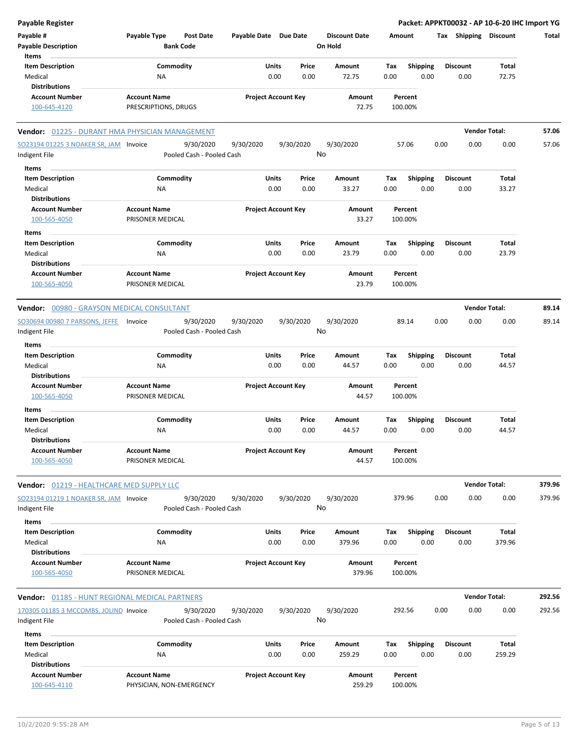| <b>Payable Register</b>                                       |                                                      |                            |                                   |                                        | Packet: APPKT00032 - AP 10-6-20 IHC Import YG |                      |        |
|---------------------------------------------------------------|------------------------------------------------------|----------------------------|-----------------------------------|----------------------------------------|-----------------------------------------------|----------------------|--------|
| Payable #<br><b>Payable Description</b>                       | Payable Type<br><b>Post Date</b><br><b>Bank Code</b> | Payable Date Due Date      | <b>Discount Date</b><br>On Hold   | Amount                                 | Tax Shipping Discount                         |                      | Total  |
| Items<br><b>Item Description</b><br>Medical                   | Commodity<br><b>NA</b>                               | Units<br>0.00              | Price<br>Amount<br>0.00<br>72.75  | <b>Shipping</b><br>Тах<br>0.00<br>0.00 | <b>Discount</b><br>0.00                       | Total<br>72.75       |        |
| <b>Distributions</b>                                          |                                                      |                            |                                   |                                        |                                               |                      |        |
| <b>Account Number</b>                                         | <b>Account Name</b>                                  | <b>Project Account Key</b> | Amount                            | Percent                                |                                               |                      |        |
| 100-645-4120                                                  | PRESCRIPTIONS, DRUGS                                 |                            | 72.75                             | 100.00%                                |                                               |                      |        |
| Vendor: 01225 - DURANT HMA PHYSICIAN MANAGEMENT               |                                                      |                            |                                   |                                        |                                               | <b>Vendor Total:</b> | 57.06  |
| SO23194 01225 3 NOAKER SR, JAM Invoice<br>Indigent File       | 9/30/2020<br>Pooled Cash - Pooled Cash               | 9/30/2020<br>9/30/2020     | 9/30/2020<br>No                   | 57.06                                  | 0.00<br>0.00                                  | 0.00                 | 57.06  |
| Items                                                         |                                                      |                            |                                   |                                        |                                               |                      |        |
| <b>Item Description</b><br>Medical                            | Commodity<br>ΝA                                      | Units<br>0.00              | Price<br>Amount<br>0.00<br>33.27  | Tax<br><b>Shipping</b><br>0.00<br>0.00 | <b>Discount</b><br>0.00                       | Total<br>33.27       |        |
| <b>Distributions</b>                                          |                                                      |                            |                                   |                                        |                                               |                      |        |
| <b>Account Number</b><br>100-565-4050                         | <b>Account Name</b><br>PRISONER MEDICAL              | <b>Project Account Key</b> | Amount<br>33.27                   | Percent<br>100.00%                     |                                               |                      |        |
| Items                                                         |                                                      |                            |                                   |                                        |                                               |                      |        |
| <b>Item Description</b><br>Medical                            | Commodity<br>ΝA                                      | Units<br>0.00              | Price<br>Amount<br>0.00<br>23.79  | Shipping<br>Тах<br>0.00<br>0.00        | <b>Discount</b><br>0.00                       | Total<br>23.79       |        |
| <b>Distributions</b><br><b>Account Number</b><br>100-565-4050 | <b>Account Name</b><br>PRISONER MEDICAL              | <b>Project Account Key</b> | Amount<br>23.79                   | Percent<br>100.00%                     |                                               |                      |        |
| Vendor: 00980 - GRAYSON MEDICAL CONSULTANT                    |                                                      |                            |                                   |                                        |                                               | <b>Vendor Total:</b> | 89.14  |
| SO30694 00980 7 PARSONS, JEFFE<br>Indigent File               | 9/30/2020<br>Invoice<br>Pooled Cash - Pooled Cash    | 9/30/2020<br>9/30/2020     | 9/30/2020<br>No                   | 89.14                                  | 0.00<br>0.00                                  | 0.00                 | 89.14  |
| Items                                                         |                                                      |                            |                                   |                                        |                                               |                      |        |
| <b>Item Description</b><br>Medical<br><b>Distributions</b>    | Commodity<br><b>NA</b>                               | Units<br>0.00              | Price<br>Amount<br>0.00<br>44.57  | Shipping<br>Тах<br>0.00<br>0.00        | <b>Discount</b><br>0.00                       | Total<br>44.57       |        |
| <b>Account Number</b><br>100-565-4050                         | <b>Account Name</b><br>PRISONER MEDICAL              | <b>Project Account Key</b> | Amount<br>44.57                   | Percent<br>100.00%                     |                                               |                      |        |
| Items                                                         |                                                      |                            |                                   |                                        |                                               |                      |        |
| <b>Item Description</b><br>Medical<br><b>Distributions</b>    | Commodity<br><b>NA</b>                               | Units<br>0.00              | Price<br>Amount<br>0.00<br>44.57  | <b>Shipping</b><br>Тах<br>0.00<br>0.00 | <b>Discount</b><br>0.00                       | Total<br>44.57       |        |
| <b>Account Number</b><br>100-565-4050                         | <b>Account Name</b><br>PRISONER MEDICAL              | <b>Project Account Key</b> | Amount<br>44.57                   | Percent<br>100.00%                     |                                               |                      |        |
| Vendor: 01219 - HEALTHCARE MED SUPPLY LLC                     |                                                      |                            |                                   |                                        |                                               | <b>Vendor Total:</b> | 379.96 |
| SO23194 01219 1 NOAKER SR, JAM Invoice<br>Indigent File       | 9/30/2020<br>Pooled Cash - Pooled Cash               | 9/30/2020<br>9/30/2020     | 9/30/2020<br>No                   | 379.96                                 | 0.00<br>0.00                                  | 0.00                 | 379.96 |
| Items<br><b>Item Description</b><br>Medical                   | Commodity<br>ΝA                                      | Units<br>0.00              | Price<br>Amount<br>0.00<br>379.96 | <b>Shipping</b><br>Тах<br>0.00<br>0.00 | <b>Discount</b><br>0.00                       | Total<br>379.96      |        |
| <b>Distributions</b><br><b>Account Number</b>                 | <b>Account Name</b>                                  | <b>Project Account Key</b> | Amount                            | Percent                                |                                               |                      |        |
| 100-565-4050                                                  | PRISONER MEDICAL                                     |                            | 379.96                            | 100.00%                                |                                               |                      |        |
| <b>Vendor:</b> 01185 - HUNT REGIONAL MEDICAL PARTNERS         |                                                      |                            |                                   |                                        |                                               | <b>Vendor Total:</b> | 292.56 |
| 170305 01185 3 MCCOMBS, JOLIND Invoice                        | 9/30/2020                                            | 9/30/2020<br>9/30/2020     | 9/30/2020                         | 292.56                                 | 0.00<br>0.00                                  | 0.00                 | 292.56 |
| Indigent File<br>Items                                        | Pooled Cash - Pooled Cash                            |                            | No                                |                                        |                                               |                      |        |
| <b>Item Description</b>                                       | Commodity                                            | Units                      | Price<br>Amount                   | <b>Shipping</b><br>Тах                 | <b>Discount</b>                               | Total                |        |
| Medical                                                       | <b>NA</b>                                            | 0.00                       | 0.00<br>259.29                    | 0.00<br>0.00                           | 0.00                                          | 259.29               |        |
| <b>Distributions</b>                                          |                                                      |                            |                                   |                                        |                                               |                      |        |
| <b>Account Number</b><br>100-645-4110                         | <b>Account Name</b><br>PHYSICIAN, NON-EMERGENCY      | <b>Project Account Key</b> | Amount<br>259.29                  | Percent<br>100.00%                     |                                               |                      |        |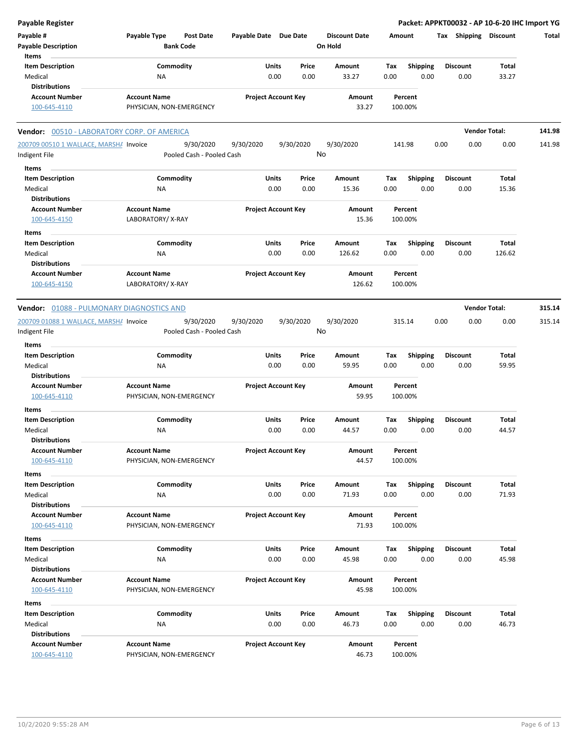| <b>Payable Register</b>                     |                                  |                            |           |                      |             |                         | Packet: APPKT00032 - AP 10-6-20 IHC Import YG |                      |        |
|---------------------------------------------|----------------------------------|----------------------------|-----------|----------------------|-------------|-------------------------|-----------------------------------------------|----------------------|--------|
| Payable #                                   | Payable Type<br><b>Post Date</b> | Payable Date Due Date      |           | <b>Discount Date</b> |             | Amount                  | Tax Shipping Discount                         |                      | Total  |
| <b>Payable Description</b>                  | <b>Bank Code</b>                 |                            |           | On Hold              |             |                         |                                               |                      |        |
| Items                                       |                                  |                            |           |                      |             |                         |                                               |                      |        |
| <b>Item Description</b>                     | Commodity                        | Units                      | Price     | Amount               | Tax         | <b>Shipping</b>         | <b>Discount</b>                               | Total                |        |
| Medical                                     | ΝA                               | 0.00                       | 0.00      | 33.27                | 0.00        | 0.00                    | 0.00                                          | 33.27                |        |
| <b>Distributions</b>                        |                                  |                            |           |                      |             |                         |                                               |                      |        |
| <b>Account Number</b>                       | <b>Account Name</b>              | <b>Project Account Key</b> |           | Amount               |             | Percent                 |                                               |                      |        |
| 100-645-4110                                | PHYSICIAN, NON-EMERGENCY         |                            |           | 33.27                |             | 100.00%                 |                                               |                      |        |
|                                             |                                  |                            |           |                      |             |                         |                                               |                      |        |
| Vendor: 00510 - LABORATORY CORP. OF AMERICA |                                  |                            |           |                      |             |                         |                                               | <b>Vendor Total:</b> | 141.98 |
| 200709 00510 1 WALLACE, MARSHA Invoice      | 9/30/2020                        | 9/30/2020                  | 9/30/2020 | 9/30/2020            |             | 141.98                  | 0.00<br>0.00                                  | 0.00                 | 141.98 |
| Indigent File                               | Pooled Cash - Pooled Cash        |                            |           | No                   |             |                         |                                               |                      |        |
| Items                                       |                                  |                            |           |                      |             |                         |                                               |                      |        |
| <b>Item Description</b>                     | Commodity                        | Units                      | Price     | Amount               | Tax         | <b>Shipping</b>         | <b>Discount</b>                               | Total                |        |
| Medical                                     | ΝA                               | 0.00                       | 0.00      | 15.36                | 0.00        | 0.00                    | 0.00                                          | 15.36                |        |
| <b>Distributions</b>                        |                                  |                            |           |                      |             |                         |                                               |                      |        |
| <b>Account Number</b>                       | <b>Account Name</b>              | <b>Project Account Key</b> |           | Amount               |             | Percent                 |                                               |                      |        |
| 100-645-4150                                | LABORATORY/X-RAY                 |                            |           | 15.36                |             | 100.00%                 |                                               |                      |        |
|                                             |                                  |                            |           |                      |             |                         |                                               |                      |        |
| Items                                       |                                  |                            |           |                      |             |                         |                                               |                      |        |
| <b>Item Description</b>                     | Commodity                        | Units                      | Price     | Amount               | Тах         | <b>Shipping</b>         | <b>Discount</b>                               | Total                |        |
| Medical                                     | ΝA                               | 0.00                       | 0.00      | 126.62               | 0.00        | 0.00                    | 0.00                                          | 126.62               |        |
| <b>Distributions</b>                        |                                  |                            |           |                      |             |                         |                                               |                      |        |
| <b>Account Number</b>                       | <b>Account Name</b>              | <b>Project Account Key</b> |           | Amount               |             | Percent                 |                                               |                      |        |
| 100-645-4150                                | LABORATORY/X-RAY                 |                            |           | 126.62               |             | 100.00%                 |                                               |                      |        |
|                                             |                                  |                            |           |                      |             |                         |                                               |                      |        |
| Vendor: 01088 - PULMONARY DIAGNOSTICS AND   |                                  |                            |           |                      |             |                         |                                               | <b>Vendor Total:</b> | 315.14 |
| 200709 01088 1 WALLACE, MARSHA Invoice      | 9/30/2020                        | 9/30/2020                  | 9/30/2020 | 9/30/2020            |             | 315.14                  | 0.00<br>0.00                                  | 0.00                 | 315.14 |
| Indigent File                               | Pooled Cash - Pooled Cash        |                            |           | No                   |             |                         |                                               |                      |        |
| Items                                       |                                  |                            |           |                      |             |                         |                                               |                      |        |
| <b>Item Description</b>                     | Commodity                        | Units                      | Price     | Amount               | Тах         | <b>Shipping</b>         | <b>Discount</b>                               | Total                |        |
| Medical                                     | ΝA                               | 0.00                       | 0.00      | 59.95                | 0.00        | 0.00                    | 0.00                                          | 59.95                |        |
| <b>Distributions</b>                        |                                  |                            |           |                      |             |                         |                                               |                      |        |
| <b>Account Number</b>                       | <b>Account Name</b>              | <b>Project Account Key</b> |           | Amount               |             | Percent                 |                                               |                      |        |
| 100-645-4110                                | PHYSICIAN, NON-EMERGENCY         |                            |           | 59.95                |             | 100.00%                 |                                               |                      |        |
| Items                                       |                                  |                            |           |                      |             |                         |                                               |                      |        |
| <b>Item Description</b>                     | Commodity                        | Units                      | Price     | Amount               | Тах         | <b>Shipping</b>         | <b>Discount</b>                               | Total                |        |
| Medical                                     | NA                               | 0.00                       | 0.00      | 44.57                | 0.00        | 0.00                    | 0.00                                          | 44.57                |        |
| <b>Distributions</b>                        |                                  |                            |           |                      |             |                         |                                               |                      |        |
| <b>Account Number</b>                       | <b>Account Name</b>              | <b>Project Account Key</b> |           | Amount               |             | Percent                 |                                               |                      |        |
| 100-645-4110                                | PHYSICIAN, NON-EMERGENCY         |                            |           | 44.57                |             | 100.00%                 |                                               |                      |        |
| Items                                       |                                  |                            |           |                      |             |                         |                                               |                      |        |
| <b>Item Description</b>                     | Commodity                        | Units                      | Price     | Amount               | Tax         | <b>Shipping</b>         | <b>Discount</b>                               | Total                |        |
| Medical                                     | ΝA                               | 0.00                       | 0.00      | 71.93                | 0.00        | 0.00                    | 0.00                                          | 71.93                |        |
| <b>Distributions</b>                        |                                  |                            |           |                      |             |                         |                                               |                      |        |
| <b>Account Number</b>                       | <b>Account Name</b>              | <b>Project Account Key</b> |           | Amount               |             | Percent                 |                                               |                      |        |
| 100-645-4110                                | PHYSICIAN, NON-EMERGENCY         |                            |           | 71.93                |             | 100.00%                 |                                               |                      |        |
|                                             |                                  |                            |           |                      |             |                         |                                               |                      |        |
| Items<br><b>Item Description</b>            | Commodity                        | Units                      | Price     | Amount               |             |                         | <b>Discount</b>                               | Total                |        |
| Medical                                     | ΝA                               | 0.00                       | 0.00      | 45.98                | Тах<br>0.00 | <b>Shipping</b><br>0.00 | 0.00                                          | 45.98                |        |
| <b>Distributions</b>                        |                                  |                            |           |                      |             |                         |                                               |                      |        |
| <b>Account Number</b>                       | <b>Account Name</b>              | <b>Project Account Key</b> |           | Amount               |             | Percent                 |                                               |                      |        |
| 100-645-4110                                | PHYSICIAN, NON-EMERGENCY         |                            |           | 45.98                |             | 100.00%                 |                                               |                      |        |
|                                             |                                  |                            |           |                      |             |                         |                                               |                      |        |
| Items                                       |                                  |                            |           |                      |             |                         |                                               |                      |        |
| <b>Item Description</b>                     | Commodity                        | Units                      | Price     | Amount               | Tax         | <b>Shipping</b>         | <b>Discount</b>                               | Total                |        |
| Medical                                     | <b>NA</b>                        | 0.00                       | 0.00      | 46.73                | 0.00        | 0.00                    | 0.00                                          | 46.73                |        |
| <b>Distributions</b>                        |                                  |                            |           |                      |             |                         |                                               |                      |        |
| <b>Account Number</b>                       | <b>Account Name</b>              | <b>Project Account Key</b> |           | Amount               |             | Percent                 |                                               |                      |        |
| 100-645-4110                                | PHYSICIAN, NON-EMERGENCY         |                            |           | 46.73                |             | 100.00%                 |                                               |                      |        |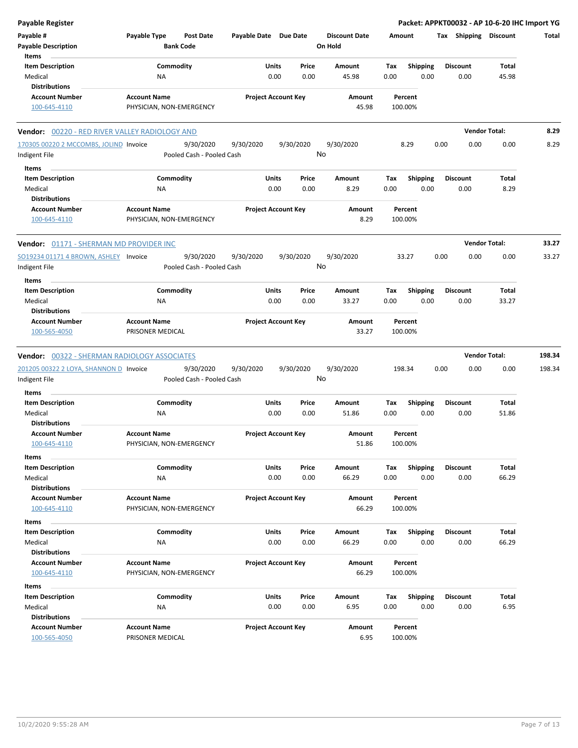| <b>Payable Register</b>                        |                                                 |                                      |                       |                                |                                 |             |                         |                 |      | Packet: APPKT00032 - AP 10-6-20 IHC Import YG |        |
|------------------------------------------------|-------------------------------------------------|--------------------------------------|-----------------------|--------------------------------|---------------------------------|-------------|-------------------------|-----------------|------|-----------------------------------------------|--------|
| Payable #<br><b>Payable Description</b>        | Payable Type                                    | <b>Post Date</b><br><b>Bank Code</b> | Payable Date Due Date |                                | <b>Discount Date</b><br>On Hold |             | Amount                  |                 |      | Tax Shipping Discount                         | Total  |
| Items<br><b>Item Description</b>               |                                                 | Commodity                            |                       | Units<br>Price                 | Amount                          | Tax         | <b>Shipping</b>         | <b>Discount</b> |      | Total                                         |        |
| Medical                                        | ΝA                                              |                                      |                       | 0.00<br>0.00                   | 45.98                           | 0.00        | 0.00                    |                 | 0.00 | 45.98                                         |        |
| <b>Distributions</b>                           |                                                 |                                      |                       |                                |                                 |             |                         |                 |      |                                               |        |
| <b>Account Number</b><br>100-645-4110          | <b>Account Name</b><br>PHYSICIAN, NON-EMERGENCY |                                      |                       | <b>Project Account Key</b>     | Amount<br>45.98                 |             | Percent<br>100.00%      |                 |      |                                               |        |
| Vendor: 00220 - RED RIVER VALLEY RADIOLOGY AND |                                                 |                                      |                       |                                |                                 |             |                         |                 |      | <b>Vendor Total:</b>                          | 8.29   |
| 170305 00220 2 MCCOMBS, JOLIND Invoice         |                                                 | 9/30/2020                            | 9/30/2020             | 9/30/2020                      | 9/30/2020                       |             | 8.29                    | 0.00            | 0.00 | 0.00                                          | 8.29   |
| Indigent File                                  |                                                 | Pooled Cash - Pooled Cash            |                       |                                | No                              |             |                         |                 |      |                                               |        |
| Items                                          |                                                 |                                      |                       |                                |                                 |             |                         |                 |      |                                               |        |
| <b>Item Description</b>                        |                                                 | Commodity                            |                       | Units<br>Price                 | Amount                          | Tax         | <b>Shipping</b>         | <b>Discount</b> |      | Total                                         |        |
| Medical<br><b>Distributions</b>                | ΝA                                              |                                      |                       | 0.00<br>0.00                   | 8.29                            | 0.00        | 0.00                    |                 | 0.00 | 8.29                                          |        |
| <b>Account Number</b>                          | <b>Account Name</b>                             |                                      |                       | <b>Project Account Key</b>     | Amount                          |             | Percent                 |                 |      |                                               |        |
| 100-645-4110                                   | PHYSICIAN, NON-EMERGENCY                        |                                      |                       |                                | 8.29                            |             | 100.00%                 |                 |      |                                               |        |
| Vendor: 01171 - SHERMAN MD PROVIDER INC        |                                                 |                                      |                       |                                |                                 |             |                         |                 |      | <b>Vendor Total:</b>                          | 33.27  |
| SO19234 01171 4 BROWN, ASHLEY Invoice          |                                                 | 9/30/2020                            | 9/30/2020             | 9/30/2020                      | 9/30/2020                       |             | 33.27                   | 0.00            | 0.00 | 0.00                                          | 33.27  |
| Indigent File                                  |                                                 | Pooled Cash - Pooled Cash            |                       |                                | No                              |             |                         |                 |      |                                               |        |
| Items                                          |                                                 |                                      |                       |                                |                                 |             |                         |                 |      |                                               |        |
| <b>Item Description</b><br>Medical             | ΝA                                              | Commodity                            |                       | Units<br>Price<br>0.00<br>0.00 | Amount<br>33.27                 | Tax<br>0.00 | <b>Shipping</b><br>0.00 | <b>Discount</b> | 0.00 | Total<br>33.27                                |        |
| <b>Distributions</b>                           |                                                 |                                      |                       |                                |                                 |             |                         |                 |      |                                               |        |
| <b>Account Number</b>                          | <b>Account Name</b>                             |                                      |                       | <b>Project Account Key</b>     | Amount                          |             | Percent                 |                 |      |                                               |        |
| 100-565-4050                                   | PRISONER MEDICAL                                |                                      |                       |                                | 33.27                           |             | 100.00%                 |                 |      |                                               |        |
| Vendor: 00322 - SHERMAN RADIOLOGY ASSOCIATES   |                                                 |                                      |                       |                                |                                 |             |                         |                 |      | <b>Vendor Total:</b>                          | 198.34 |
| 201205 00322 2 LOYA, SHANNON D Invoice         |                                                 | 9/30/2020                            | 9/30/2020             | 9/30/2020                      | 9/30/2020                       |             | 198.34                  | 0.00            | 0.00 | 0.00                                          | 198.34 |
| Indigent File                                  |                                                 | Pooled Cash - Pooled Cash            |                       |                                | No                              |             |                         |                 |      |                                               |        |
| Items                                          |                                                 |                                      |                       |                                |                                 |             |                         |                 |      |                                               |        |
| <b>Item Description</b>                        |                                                 | Commodity                            |                       | Units<br>Price                 | Amount                          | Tax         | <b>Shipping</b>         | <b>Discount</b> |      | Total                                         |        |
| Medical                                        | ΝA                                              |                                      |                       | 0.00<br>0.00                   | 51.86                           | 0.00        | 0.00                    | 0.00            |      | 51.86                                         |        |
| <b>Distributions</b>                           |                                                 |                                      |                       |                                |                                 |             |                         |                 |      |                                               |        |
| <b>Account Number</b>                          | <b>Account Name</b>                             |                                      |                       | <b>Project Account Key</b>     | Amount                          |             | Percent                 |                 |      |                                               |        |
| 100-645-4110                                   | PHYSICIAN, NON-EMERGENCY                        |                                      |                       |                                | 51.86                           |             | 100.00%                 |                 |      |                                               |        |
| Items                                          |                                                 |                                      |                       |                                |                                 |             |                         |                 |      |                                               |        |
| <b>Item Description</b>                        |                                                 | Commodity                            |                       | Units<br>Price                 | Amount                          | Tax         | <b>Shipping</b>         | <b>Discount</b> |      | Total                                         |        |
| Medical                                        | <b>NA</b>                                       |                                      |                       | 0.00<br>0.00                   | 66.29                           | 0.00        | 0.00                    |                 | 0.00 | 66.29                                         |        |
| <b>Distributions</b>                           |                                                 |                                      |                       |                                |                                 |             |                         |                 |      |                                               |        |
| <b>Account Number</b>                          | <b>Account Name</b>                             |                                      |                       | <b>Project Account Key</b>     | Amount                          |             | Percent                 |                 |      |                                               |        |
| 100-645-4110                                   | PHYSICIAN, NON-EMERGENCY                        |                                      |                       |                                | 66.29                           |             | 100.00%                 |                 |      |                                               |        |
| Items                                          |                                                 |                                      |                       |                                |                                 |             |                         |                 |      |                                               |        |
| <b>Item Description</b><br>Medical             | <b>NA</b>                                       | Commodity                            |                       | Units<br>Price<br>0.00<br>0.00 | Amount<br>66.29                 | Tax<br>0.00 | <b>Shipping</b><br>0.00 | <b>Discount</b> | 0.00 | Total<br>66.29                                |        |
| <b>Distributions</b>                           |                                                 |                                      |                       |                                |                                 |             |                         |                 |      |                                               |        |
| <b>Account Number</b>                          | <b>Account Name</b>                             |                                      |                       | <b>Project Account Key</b>     | Amount                          |             | Percent                 |                 |      |                                               |        |
| 100-645-4110                                   | PHYSICIAN, NON-EMERGENCY                        |                                      |                       |                                | 66.29                           |             | 100.00%                 |                 |      |                                               |        |
| Items                                          |                                                 |                                      |                       |                                |                                 |             |                         |                 |      |                                               |        |
| <b>Item Description</b>                        |                                                 | Commodity                            |                       | Units<br>Price                 | Amount                          | Tax         | <b>Shipping</b>         | <b>Discount</b> |      | Total                                         |        |
| Medical                                        | ΝA                                              |                                      |                       | 0.00<br>0.00                   | 6.95                            | 0.00        | 0.00                    |                 | 0.00 | 6.95                                          |        |
| <b>Distributions</b>                           |                                                 |                                      |                       |                                |                                 |             |                         |                 |      |                                               |        |
| <b>Account Number</b><br>100-565-4050          | <b>Account Name</b><br>PRISONER MEDICAL         |                                      |                       | <b>Project Account Key</b>     | Amount<br>6.95                  |             | Percent<br>100.00%      |                 |      |                                               |        |
|                                                |                                                 |                                      |                       |                                |                                 |             |                         |                 |      |                                               |        |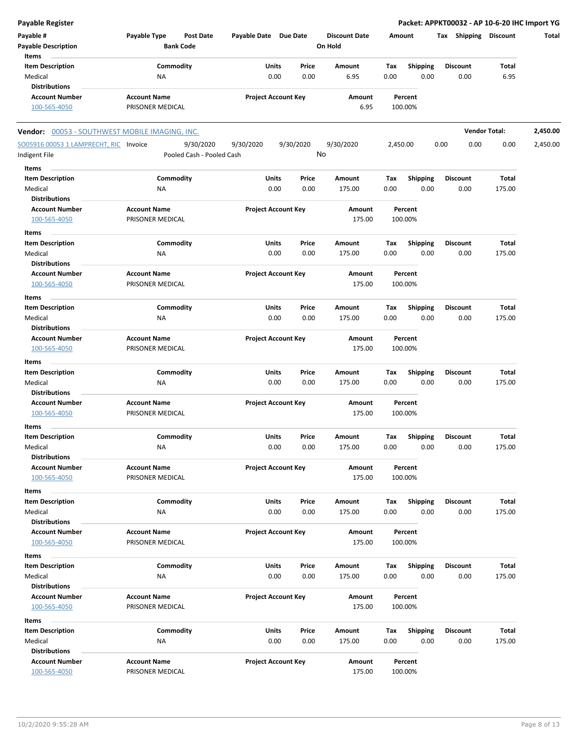| <b>Payable Register</b>                        |                                  |                            | Packet: APPKT00032 - AP 10-6-20 IHC Import YG |                      |          |                 |                       |                      |          |
|------------------------------------------------|----------------------------------|----------------------------|-----------------------------------------------|----------------------|----------|-----------------|-----------------------|----------------------|----------|
| Payable #                                      | Payable Type<br><b>Post Date</b> | Payable Date Due Date      |                                               | <b>Discount Date</b> |          | Amount          | Tax Shipping Discount |                      | Total    |
| <b>Payable Description</b>                     | <b>Bank Code</b>                 |                            |                                               | On Hold              |          |                 |                       |                      |          |
| Items                                          |                                  |                            |                                               |                      |          |                 |                       |                      |          |
| <b>Item Description</b>                        | Commodity                        | Units                      | Price                                         | Amount               | Тах      | <b>Shipping</b> | <b>Discount</b>       | Total                |          |
| Medical                                        | ΝA                               | 0.00                       | 0.00                                          | 6.95                 | 0.00     | 0.00            | 0.00                  | 6.95                 |          |
| <b>Distributions</b>                           |                                  |                            |                                               |                      |          |                 |                       |                      |          |
| <b>Account Number</b>                          | <b>Account Name</b>              | <b>Project Account Key</b> |                                               | Amount               |          | Percent         |                       |                      |          |
| 100-565-4050                                   | PRISONER MEDICAL                 |                            |                                               | 6.95                 |          | 100.00%         |                       |                      |          |
| Vendor: 00053 - SOUTHWEST MOBILE IMAGING, INC. |                                  |                            |                                               |                      |          |                 |                       | <b>Vendor Total:</b> | 2,450.00 |
| SO05916 00053 1 LAMPRECHT, RIC Invoice         | 9/30/2020                        | 9/30/2020                  | 9/30/2020                                     | 9/30/2020            | 2,450.00 |                 | 0.00<br>0.00          | 0.00                 | 2,450.00 |
| Indigent File                                  | Pooled Cash - Pooled Cash        |                            | No                                            |                      |          |                 |                       |                      |          |
| Items                                          |                                  |                            |                                               |                      |          |                 |                       |                      |          |
| <b>Item Description</b>                        | Commodity                        | Units                      | Price                                         | Amount               | Tax      | <b>Shipping</b> | <b>Discount</b>       | Total                |          |
| Medical                                        | ΝA                               | 0.00                       | 0.00                                          | 175.00               | 0.00     | 0.00            | 0.00                  | 175.00               |          |
| <b>Distributions</b>                           |                                  |                            |                                               |                      |          |                 |                       |                      |          |
| <b>Account Number</b>                          | <b>Account Name</b>              | <b>Project Account Key</b> |                                               | Amount               |          | Percent         |                       |                      |          |
| 100-565-4050                                   | PRISONER MEDICAL                 |                            |                                               | 175.00               |          | 100.00%         |                       |                      |          |
| Items                                          |                                  |                            |                                               |                      |          |                 |                       |                      |          |
| <b>Item Description</b>                        | Commodity                        | Units                      | Price                                         | Amount               | Тах      | <b>Shipping</b> | <b>Discount</b>       | <b>Total</b>         |          |
| Medical                                        | ΝA                               | 0.00                       | 0.00                                          | 175.00               | 0.00     | 0.00            | 0.00                  | 175.00               |          |
| <b>Distributions</b>                           |                                  |                            |                                               |                      |          |                 |                       |                      |          |
| <b>Account Number</b>                          | <b>Account Name</b>              | <b>Project Account Key</b> |                                               | Amount               |          | Percent         |                       |                      |          |
| 100-565-4050                                   | PRISONER MEDICAL                 |                            |                                               | 175.00               |          | 100.00%         |                       |                      |          |
| Items                                          |                                  |                            |                                               |                      |          |                 |                       |                      |          |
| <b>Item Description</b>                        | Commodity                        | Units                      | Price                                         | Amount               | Tax      | <b>Shipping</b> | <b>Discount</b>       | Total                |          |
| Medical                                        | NA                               | 0.00                       | 0.00                                          | 175.00               | 0.00     | 0.00            | 0.00                  | 175.00               |          |
| <b>Distributions</b>                           |                                  |                            |                                               |                      |          |                 |                       |                      |          |
| <b>Account Number</b>                          | <b>Account Name</b>              | <b>Project Account Key</b> |                                               | Amount               |          | Percent         |                       |                      |          |
| 100-565-4050                                   | PRISONER MEDICAL                 |                            |                                               | 175.00               |          | 100.00%         |                       |                      |          |
|                                                |                                  |                            |                                               |                      |          |                 |                       |                      |          |
| Items                                          |                                  |                            |                                               |                      |          |                 |                       |                      |          |
| <b>Item Description</b>                        | Commodity                        | Units                      | Price                                         | Amount               | Тах      | <b>Shipping</b> | <b>Discount</b>       | Total                |          |
| Medical                                        | ΝA                               | 0.00                       | 0.00                                          | 175.00               | 0.00     | 0.00            | 0.00                  | 175.00               |          |
| <b>Distributions</b>                           |                                  |                            |                                               |                      |          |                 |                       |                      |          |
| <b>Account Number</b>                          | <b>Account Name</b>              | <b>Project Account Key</b> |                                               | Amount               |          | Percent         |                       |                      |          |
| 100-565-4050                                   | PRISONER MEDICAL                 |                            |                                               | 175.00               |          | 100.00%         |                       |                      |          |
| Items                                          |                                  |                            |                                               |                      |          |                 |                       |                      |          |
| <b>Item Description</b>                        | Commodity                        | Units                      | Price                                         | Amount               | Тах      | <b>Shipping</b> | <b>Discount</b>       | <b>Total</b>         |          |
| Medical                                        | <b>NA</b>                        | 0.00                       | 0.00                                          | 175.00               | 0.00     | 0.00            | 0.00                  | 175.00               |          |
| <b>Distributions</b>                           |                                  |                            |                                               |                      |          |                 |                       |                      |          |
| <b>Account Number</b>                          | <b>Account Name</b>              | <b>Project Account Key</b> |                                               | Amount               |          | Percent         |                       |                      |          |
| 100-565-4050                                   | PRISONER MEDICAL                 |                            |                                               | 175.00               |          | 100.00%         |                       |                      |          |
| Items                                          |                                  |                            |                                               |                      |          |                 |                       |                      |          |
| <b>Item Description</b>                        | Commodity                        | Units                      | Price                                         | Amount               | Tax      | Shipping        | <b>Discount</b>       | Total                |          |
| Medical                                        | ΝA                               | 0.00                       | 0.00                                          | 175.00               | 0.00     | 0.00            | 0.00                  | 175.00               |          |
| <b>Distributions</b>                           |                                  |                            |                                               |                      |          |                 |                       |                      |          |
| <b>Account Number</b>                          | <b>Account Name</b>              | <b>Project Account Key</b> |                                               | Amount               |          | Percent         |                       |                      |          |
| 100-565-4050                                   | PRISONER MEDICAL                 |                            |                                               | 175.00               |          | 100.00%         |                       |                      |          |
| Items                                          |                                  |                            |                                               |                      |          |                 |                       |                      |          |
| <b>Item Description</b>                        | Commodity                        | Units                      | Price                                         | Amount               | Tax      | <b>Shipping</b> | <b>Discount</b>       | <b>Total</b>         |          |
| Medical                                        | ΝA                               | 0.00                       | 0.00                                          | 175.00               | 0.00     | 0.00            | 0.00                  | 175.00               |          |
| <b>Distributions</b>                           |                                  |                            |                                               |                      |          |                 |                       |                      |          |
| <b>Account Number</b>                          | <b>Account Name</b>              | <b>Project Account Key</b> |                                               | Amount               |          | Percent         |                       |                      |          |
| 100-565-4050                                   | PRISONER MEDICAL                 |                            |                                               | 175.00               |          | 100.00%         |                       |                      |          |
|                                                |                                  |                            |                                               |                      |          |                 |                       |                      |          |
| Items                                          |                                  |                            |                                               |                      |          |                 |                       |                      |          |
| <b>Item Description</b>                        | Commodity                        | Units                      | Price                                         | Amount               | Tax      | <b>Shipping</b> | <b>Discount</b>       | Total                |          |
| Medical                                        | NA                               | 0.00                       | 0.00                                          | 175.00               | 0.00     | 0.00            | 0.00                  | 175.00               |          |
| <b>Distributions</b>                           |                                  |                            |                                               |                      |          |                 |                       |                      |          |
| <b>Account Number</b>                          | <b>Account Name</b>              | <b>Project Account Key</b> |                                               | Amount               |          | Percent         |                       |                      |          |
| 100-565-4050                                   | PRISONER MEDICAL                 |                            |                                               | 175.00               |          | 100.00%         |                       |                      |          |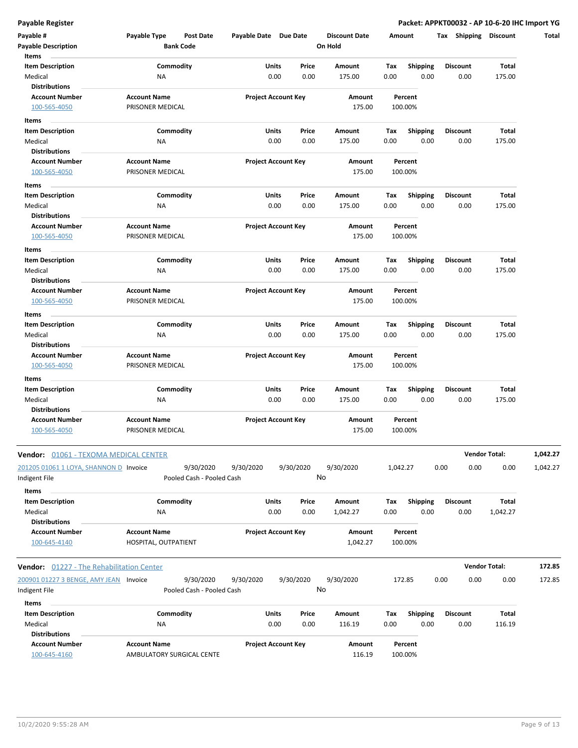| Items                                                   |                                                  |                                        |           |                            | On Hold            |             |                         |                  |                      |          |
|---------------------------------------------------------|--------------------------------------------------|----------------------------------------|-----------|----------------------------|--------------------|-------------|-------------------------|------------------|----------------------|----------|
| <b>Item Description</b>                                 |                                                  | Commodity                              | Units     | Price                      | Amount             | Tax         | <b>Shipping</b>         | <b>Discount</b>  | <b>Total</b>         |          |
| Medical                                                 | <b>NA</b>                                        |                                        |           | 0.00<br>0.00               | 175.00             | 0.00        | 0.00                    | 0.00             | 175.00               |          |
| <b>Distributions</b><br><b>Account Number</b>           | <b>Account Name</b>                              |                                        |           |                            | Amount             |             |                         |                  |                      |          |
| 100-565-4050                                            | PRISONER MEDICAL                                 |                                        |           | <b>Project Account Key</b> | 175.00             |             | Percent<br>100.00%      |                  |                      |          |
| Items                                                   |                                                  |                                        |           |                            |                    |             |                         |                  |                      |          |
| <b>Item Description</b><br>Medical                      | ΝA                                               | Commodity                              | Units     | Price<br>0.00<br>0.00      | Amount<br>175.00   | Tax<br>0.00 | <b>Shipping</b><br>0.00 | Discount<br>0.00 | Total<br>175.00      |          |
| <b>Distributions</b>                                    |                                                  |                                        |           |                            |                    |             |                         |                  |                      |          |
| <b>Account Number</b><br>100-565-4050                   | <b>Account Name</b><br>PRISONER MEDICAL          |                                        |           | <b>Project Account Key</b> | Amount<br>175.00   |             | Percent<br>100.00%      |                  |                      |          |
| Items                                                   |                                                  |                                        |           |                            |                    |             |                         |                  |                      |          |
| <b>Item Description</b>                                 |                                                  | Commodity                              | Units     | Price                      | Amount             | Tax         | <b>Shipping</b>         | <b>Discount</b>  | Total                |          |
| Medical                                                 | ΝA                                               |                                        |           | 0.00<br>0.00               | 175.00             | 0.00        | 0.00                    | 0.00             | 175.00               |          |
| <b>Distributions</b>                                    |                                                  |                                        |           |                            |                    |             |                         |                  |                      |          |
| <b>Account Number</b><br>100-565-4050                   | <b>Account Name</b><br>PRISONER MEDICAL          |                                        |           | <b>Project Account Key</b> | Amount<br>175.00   |             | Percent<br>100.00%      |                  |                      |          |
| Items                                                   |                                                  |                                        |           |                            |                    |             |                         |                  |                      |          |
| <b>Item Description</b><br>Medical                      | ΝA                                               | Commodity                              | Units     | Price<br>0.00<br>0.00      | Amount<br>175.00   | Tax<br>0.00 | <b>Shipping</b><br>0.00 | Discount<br>0.00 | Total<br>175.00      |          |
| <b>Distributions</b>                                    |                                                  |                                        |           |                            |                    |             |                         |                  |                      |          |
| <b>Account Number</b>                                   | <b>Account Name</b>                              |                                        |           | <b>Project Account Key</b> | Amount             |             | Percent                 |                  |                      |          |
| 100-565-4050                                            | PRISONER MEDICAL                                 |                                        |           |                            | 175.00             |             | 100.00%                 |                  |                      |          |
| Items                                                   |                                                  |                                        |           |                            |                    |             |                         |                  |                      |          |
| <b>Item Description</b>                                 |                                                  | Commodity                              | Units     | Price<br>0.00              | Amount             | Tax         | <b>Shipping</b><br>0.00 | Discount         | Total                |          |
| Medical<br><b>Distributions</b>                         | NA                                               |                                        |           | 0.00                       | 175.00             | 0.00        |                         | 0.00             | 175.00               |          |
| <b>Account Number</b>                                   | <b>Account Name</b>                              |                                        |           | <b>Project Account Key</b> | Amount             |             | Percent                 |                  |                      |          |
| 100-565-4050                                            | PRISONER MEDICAL                                 |                                        |           |                            | 175.00             |             | 100.00%                 |                  |                      |          |
| Items                                                   |                                                  |                                        |           |                            |                    |             |                         |                  |                      |          |
| <b>Item Description</b>                                 |                                                  | Commodity                              | Units     | Price                      | Amount             | Tax         | <b>Shipping</b>         | Discount         | Total                |          |
| Medical<br><b>Distributions</b>                         | <b>NA</b>                                        |                                        |           | 0.00<br>0.00               | 175.00             | 0.00        | 0.00                    | 0.00             | 175.00               |          |
| <b>Account Number</b><br>100-565-4050                   | <b>Account Name</b><br>PRISONER MEDICAL          |                                        |           | <b>Project Account Key</b> | Amount<br>175.00   |             | Percent<br>100.00%      |                  |                      |          |
| <b>Vendor:</b> <u>01061 - TEXOMA MEDICAL CENTER</u>     |                                                  |                                        |           |                            |                    |             |                         |                  | Vendor Total:        | 1,042.27 |
| 201205 01061 1 LOYA, SHANNON D Invoice<br>Indigent File |                                                  | 9/30/2020<br>Pooled Cash - Pooled Cash | 9/30/2020 | 9/30/2020                  | 9/30/2020<br>No    | 1,042.27    |                         | 0.00<br>0.00     | 0.00                 | 1,042.27 |
| Items<br><b>Item Description</b>                        |                                                  | Commodity                              | Units     | Price                      | Amount             | Tax         | <b>Shipping</b>         | <b>Discount</b>  | Total                |          |
| Medical<br><b>Distributions</b>                         | ΝA                                               |                                        |           | 0.00<br>0.00               | 1,042.27           | 0.00        | 0.00                    | 0.00             | 1,042.27             |          |
| <b>Account Number</b><br>100-645-4140                   | <b>Account Name</b><br>HOSPITAL, OUTPATIENT      |                                        |           | <b>Project Account Key</b> | Amount<br>1,042.27 |             | Percent<br>100.00%      |                  |                      |          |
| Vendor: 01227 - The Rehabilitation Center               |                                                  |                                        |           |                            |                    |             |                         |                  | <b>Vendor Total:</b> | 172.85   |
| 200901 01227 3 BENGE, AMY JEAN Invoice                  |                                                  | 9/30/2020                              | 9/30/2020 | 9/30/2020                  | 9/30/2020          |             | 172.85                  | 0.00<br>0.00     | 0.00                 | 172.85   |
| Indigent File                                           |                                                  | Pooled Cash - Pooled Cash              |           |                            | No                 |             |                         |                  |                      |          |
| Items                                                   |                                                  |                                        |           |                            |                    |             |                         |                  |                      |          |
| <b>Item Description</b>                                 |                                                  | Commodity                              | Units     | Price                      | Amount             | Tax         | <b>Shipping</b>         | Discount         | Total                |          |
| Medical<br><b>Distributions</b>                         | ΝA                                               |                                        |           | 0.00<br>0.00               | 116.19             | 0.00        | 0.00                    | 0.00             | 116.19               |          |
| <b>Account Number</b>                                   | <b>Account Name</b><br>AMBULATORY SURGICAL CENTE |                                        |           | <b>Project Account Key</b> | Amount<br>116.19   |             | Percent<br>100.00%      |                  |                      |          |

 $\overline{\phantom{a}}$ 

 $\frac{1}{2}$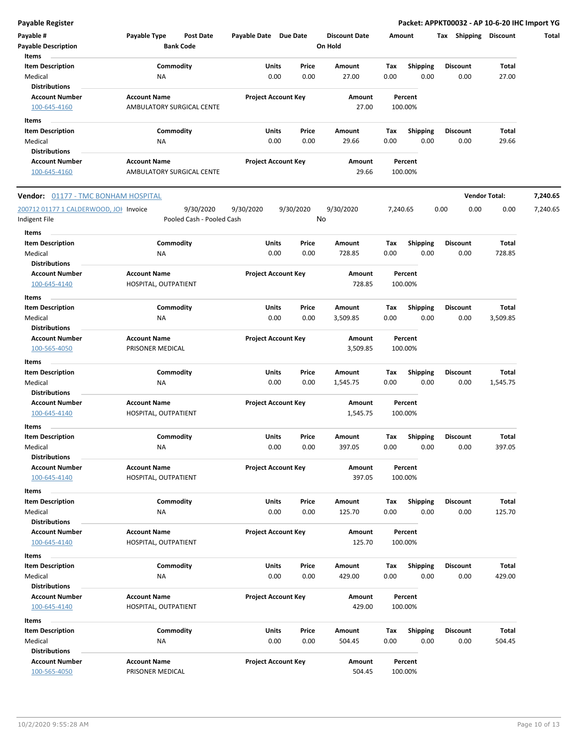| Payable #                              | Payable Type              | Post Date                 | Payable Date Due Date |                            | <b>Discount Date</b> |      | Amount          | Tax Shipping    | Discount             | Total    |
|----------------------------------------|---------------------------|---------------------------|-----------------------|----------------------------|----------------------|------|-----------------|-----------------|----------------------|----------|
| <b>Payable Description</b><br>Items    |                           | <b>Bank Code</b>          |                       |                            | On Hold              |      |                 |                 |                      |          |
| <b>Item Description</b>                |                           | Commodity                 | Units                 | Price                      | Amount               | Tax  | <b>Shipping</b> | <b>Discount</b> | <b>Total</b>         |          |
| Medical                                | ΝA                        |                           |                       | 0.00<br>0.00               | 27.00                | 0.00 | 0.00            | 0.00            | 27.00                |          |
| <b>Distributions</b>                   |                           |                           |                       |                            |                      |      |                 |                 |                      |          |
| <b>Account Number</b>                  | <b>Account Name</b>       |                           |                       | <b>Project Account Key</b> | Amount               |      | Percent         |                 |                      |          |
| 100-645-4160                           | AMBULATORY SURGICAL CENTE |                           |                       |                            | 27.00                |      | 100.00%         |                 |                      |          |
|                                        |                           |                           |                       |                            |                      |      |                 |                 |                      |          |
| Items                                  |                           |                           |                       |                            |                      |      |                 |                 |                      |          |
| <b>Item Description</b>                |                           | Commodity                 | Units                 | Price                      | Amount               | Тах  | Shipping        | <b>Discount</b> | Total                |          |
| Medical                                | ΝA                        |                           |                       | 0.00<br>0.00               | 29.66                | 0.00 | 0.00            | 0.00            | 29.66                |          |
| <b>Distributions</b>                   |                           |                           |                       |                            |                      |      |                 |                 |                      |          |
| <b>Account Number</b>                  | <b>Account Name</b>       |                           |                       | <b>Project Account Key</b> | Amount               |      | Percent         |                 |                      |          |
| 100-645-4160                           | AMBULATORY SURGICAL CENTE |                           |                       |                            | 29.66                |      | 100.00%         |                 |                      |          |
| Vendor: 01177 - TMC BONHAM HOSPITAL    |                           |                           |                       |                            |                      |      |                 |                 | <b>Vendor Total:</b> | 7,240.65 |
| 200712 01177 1 CALDERWOOD, JOH Invoice |                           | 9/30/2020                 | 9/30/2020             | 9/30/2020                  | 9/30/2020            |      | 7,240.65        | 0.00<br>0.00    | 0.00                 | 7,240.65 |
| Indigent File                          |                           | Pooled Cash - Pooled Cash |                       |                            | No                   |      |                 |                 |                      |          |
|                                        |                           |                           |                       |                            |                      |      |                 |                 |                      |          |
| Items                                  |                           |                           |                       |                            |                      |      |                 |                 |                      |          |
| <b>Item Description</b>                |                           | Commodity                 | Units                 | Price                      | Amount               | Tax  | <b>Shipping</b> | <b>Discount</b> | <b>Total</b>         |          |
| Medical                                | <b>NA</b>                 |                           |                       | 0.00<br>0.00               | 728.85               | 0.00 | 0.00            | 0.00            | 728.85               |          |
| <b>Distributions</b>                   |                           |                           |                       |                            |                      |      |                 |                 |                      |          |
| <b>Account Number</b>                  | <b>Account Name</b>       |                           |                       | <b>Project Account Key</b> | Amount               |      | Percent         |                 |                      |          |
| 100-645-4140                           | HOSPITAL, OUTPATIENT      |                           |                       |                            | 728.85               |      | 100.00%         |                 |                      |          |
| Items                                  |                           |                           |                       |                            |                      |      |                 |                 |                      |          |
| <b>Item Description</b>                |                           | Commodity                 | Units                 | Price                      | Amount               | Tax  | <b>Shipping</b> | <b>Discount</b> | Total                |          |
| Medical                                | <b>NA</b>                 |                           |                       | 0.00<br>0.00               | 3,509.85             | 0.00 | 0.00            | 0.00            | 3,509.85             |          |
| <b>Distributions</b>                   |                           |                           |                       |                            |                      |      |                 |                 |                      |          |
| <b>Account Number</b>                  | <b>Account Name</b>       |                           |                       | <b>Project Account Key</b> | Amount               |      | Percent         |                 |                      |          |
| 100-565-4050                           | PRISONER MEDICAL          |                           |                       |                            | 3,509.85             |      | 100.00%         |                 |                      |          |
| Items                                  |                           |                           |                       |                            |                      |      |                 |                 |                      |          |
| <b>Item Description</b>                |                           | Commodity                 | Units                 | Price                      | Amount               | Tax  | <b>Shipping</b> | <b>Discount</b> | <b>Total</b>         |          |
| Medical                                | ΝA                        |                           |                       | 0.00<br>0.00               | 1,545.75             | 0.00 | 0.00            | 0.00            | 1,545.75             |          |
| <b>Distributions</b>                   |                           |                           |                       |                            |                      |      |                 |                 |                      |          |
| <b>Account Number</b>                  | <b>Account Name</b>       |                           |                       | <b>Project Account Key</b> | Amount               |      | Percent         |                 |                      |          |
| 100-645-4140                           | HOSPITAL, OUTPATIENT      |                           |                       |                            | 1,545.75             |      | 100.00%         |                 |                      |          |
|                                        |                           |                           |                       |                            |                      |      |                 |                 |                      |          |
| Items                                  |                           |                           |                       |                            |                      |      |                 |                 |                      |          |
| <b>Item Description</b>                |                           | Commodity                 | Units                 | Price                      | Amount               | Tax  | Shipping        | Discount        | <b>Total</b>         |          |
| Medical                                | ΝA                        |                           |                       | 0.00<br>0.00               | 397.05               | 0.00 | 0.00            | 0.00            | 397.05               |          |
| <b>Distributions</b>                   |                           |                           |                       |                            |                      |      |                 |                 |                      |          |
| <b>Account Number</b>                  | <b>Account Name</b>       |                           |                       | <b>Project Account Key</b> | Amount               |      | Percent         |                 |                      |          |
| 100-645-4140                           | HOSPITAL, OUTPATIENT      |                           |                       |                            | 397.05               |      | 100.00%         |                 |                      |          |
| Items                                  |                           |                           |                       |                            |                      |      |                 |                 |                      |          |
| <b>Item Description</b>                |                           | Commodity                 | Units                 | Price                      | Amount               | Tax  | <b>Shipping</b> | <b>Discount</b> | Total                |          |
| Medical                                | ΝA                        |                           |                       | 0.00<br>0.00               | 125.70               | 0.00 | 0.00            | 0.00            | 125.70               |          |
| <b>Distributions</b>                   |                           |                           |                       |                            |                      |      |                 |                 |                      |          |
| <b>Account Number</b>                  | <b>Account Name</b>       |                           |                       | <b>Project Account Key</b> | Amount               |      | Percent         |                 |                      |          |
| 100-645-4140                           | HOSPITAL, OUTPATIENT      |                           |                       |                            | 125.70               |      | 100.00%         |                 |                      |          |
|                                        |                           |                           |                       |                            |                      |      |                 |                 |                      |          |
| Items                                  |                           |                           |                       |                            |                      |      |                 |                 |                      |          |
| <b>Item Description</b>                |                           | Commodity                 | Units                 | Price                      | Amount               | Tax  | <b>Shipping</b> | <b>Discount</b> | <b>Total</b>         |          |
| Medical                                | NA                        |                           |                       | 0.00<br>0.00               | 429.00               | 0.00 | 0.00            | 0.00            | 429.00               |          |
| <b>Distributions</b>                   |                           |                           |                       |                            |                      |      |                 |                 |                      |          |
| <b>Account Number</b>                  | <b>Account Name</b>       |                           |                       | <b>Project Account Key</b> | Amount               |      | Percent         |                 |                      |          |
| 100-645-4140                           | HOSPITAL, OUTPATIENT      |                           |                       |                            | 429.00               |      | 100.00%         |                 |                      |          |
| Items                                  |                           |                           |                       |                            |                      |      |                 |                 |                      |          |
| <b>Item Description</b>                |                           | Commodity                 | Units                 | Price                      | Amount               | Tax  | <b>Shipping</b> | <b>Discount</b> | Total                |          |
| Medical                                | NA                        |                           |                       | 0.00<br>0.00               | 504.45               | 0.00 | 0.00            | 0.00            | 504.45               |          |
| <b>Distributions</b>                   |                           |                           |                       |                            |                      |      |                 |                 |                      |          |
| <b>Account Number</b>                  | <b>Account Name</b>       |                           |                       | <b>Project Account Key</b> | Amount               |      | Percent         |                 |                      |          |
| 100-565-4050                           | PRISONER MEDICAL          |                           |                       |                            | 504.45               |      | 100.00%         |                 |                      |          |
|                                        |                           |                           |                       |                            |                      |      |                 |                 |                      |          |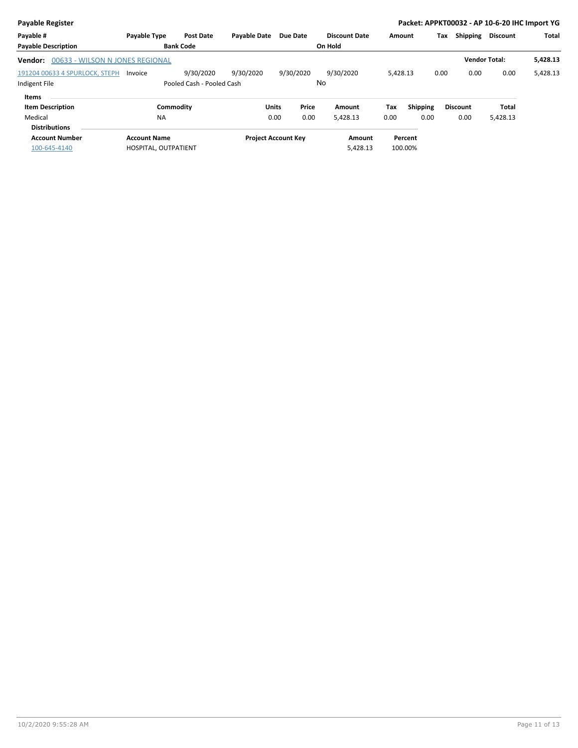| <b>Payable Register</b>                    |                      |                           |                     |                            |                      |          |                 |                 | Packet: APPKT00032 - AP 10-6-20 IHC Import YG |              |
|--------------------------------------------|----------------------|---------------------------|---------------------|----------------------------|----------------------|----------|-----------------|-----------------|-----------------------------------------------|--------------|
| Payable #                                  | Payable Type         | <b>Post Date</b>          | <b>Payable Date</b> | Due Date                   | <b>Discount Date</b> | Amount   |                 | Shipping<br>Tax | <b>Discount</b>                               | <b>Total</b> |
| <b>Payable Description</b>                 |                      | <b>Bank Code</b>          |                     |                            | On Hold              |          |                 |                 |                                               |              |
| 00633 - WILSON N JONES REGIONAL<br>Vendor: |                      |                           |                     |                            |                      |          |                 |                 | <b>Vendor Total:</b>                          | 5,428.13     |
| 191204 00633 4 SPURLOCK, STEPH             | Invoice              | 9/30/2020                 | 9/30/2020           | 9/30/2020                  | 9/30/2020            | 5,428.13 |                 | 0.00            | 0.00<br>0.00                                  | 5,428.13     |
| Indigent File                              |                      | Pooled Cash - Pooled Cash |                     |                            | No                   |          |                 |                 |                                               |              |
| Items                                      |                      |                           |                     |                            |                      |          |                 |                 |                                               |              |
| <b>Item Description</b>                    | Commodity            |                           | Units               | Price                      | Amount               | Tax      | <b>Shipping</b> | <b>Discount</b> | Total                                         |              |
| Medical                                    | <b>NA</b>            |                           |                     | 0.00<br>0.00               | 5,428.13             | 0.00     | 0.00            | 0.00            | 5,428.13                                      |              |
| <b>Distributions</b>                       |                      |                           |                     |                            |                      |          |                 |                 |                                               |              |
| <b>Account Number</b>                      | <b>Account Name</b>  |                           |                     | <b>Project Account Key</b> | Amount               |          | Percent         |                 |                                               |              |
| 100-645-4140                               | HOSPITAL, OUTPATIENT |                           |                     |                            | 5,428.13             |          | 100.00%         |                 |                                               |              |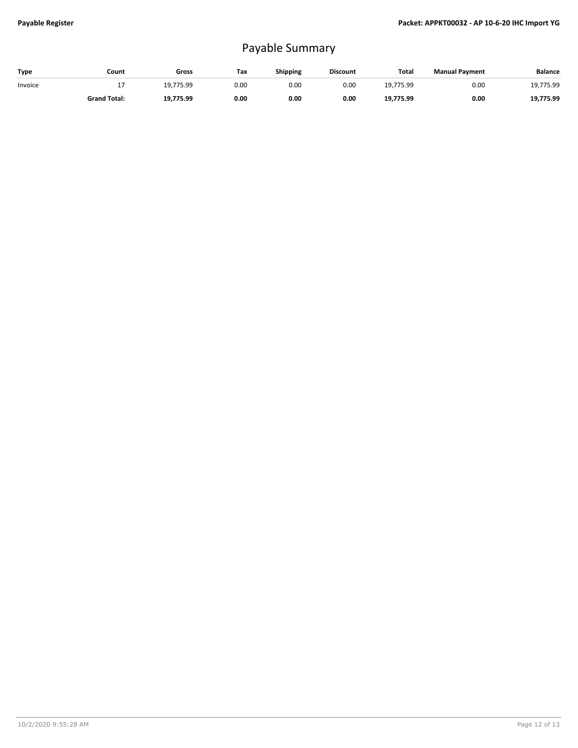## Payable Summary

| Type    | Count               | Gross     | Tax  | <b>Shipping</b> | <b>Discount</b> | <b>Tota</b> | <b>Manual Payment</b> | Balance   |
|---------|---------------------|-----------|------|-----------------|-----------------|-------------|-----------------------|-----------|
| Invoice | . .                 | 19.775.99 | 0.00 | 0.00            | 0.00            | 19.775.99   | 0.00                  | 19,775.99 |
|         | <b>Grand Total:</b> | 19,775.99 | 0.00 | 0.00            | 0.00            | 19.775.99   | 0.00                  | 19,775.99 |